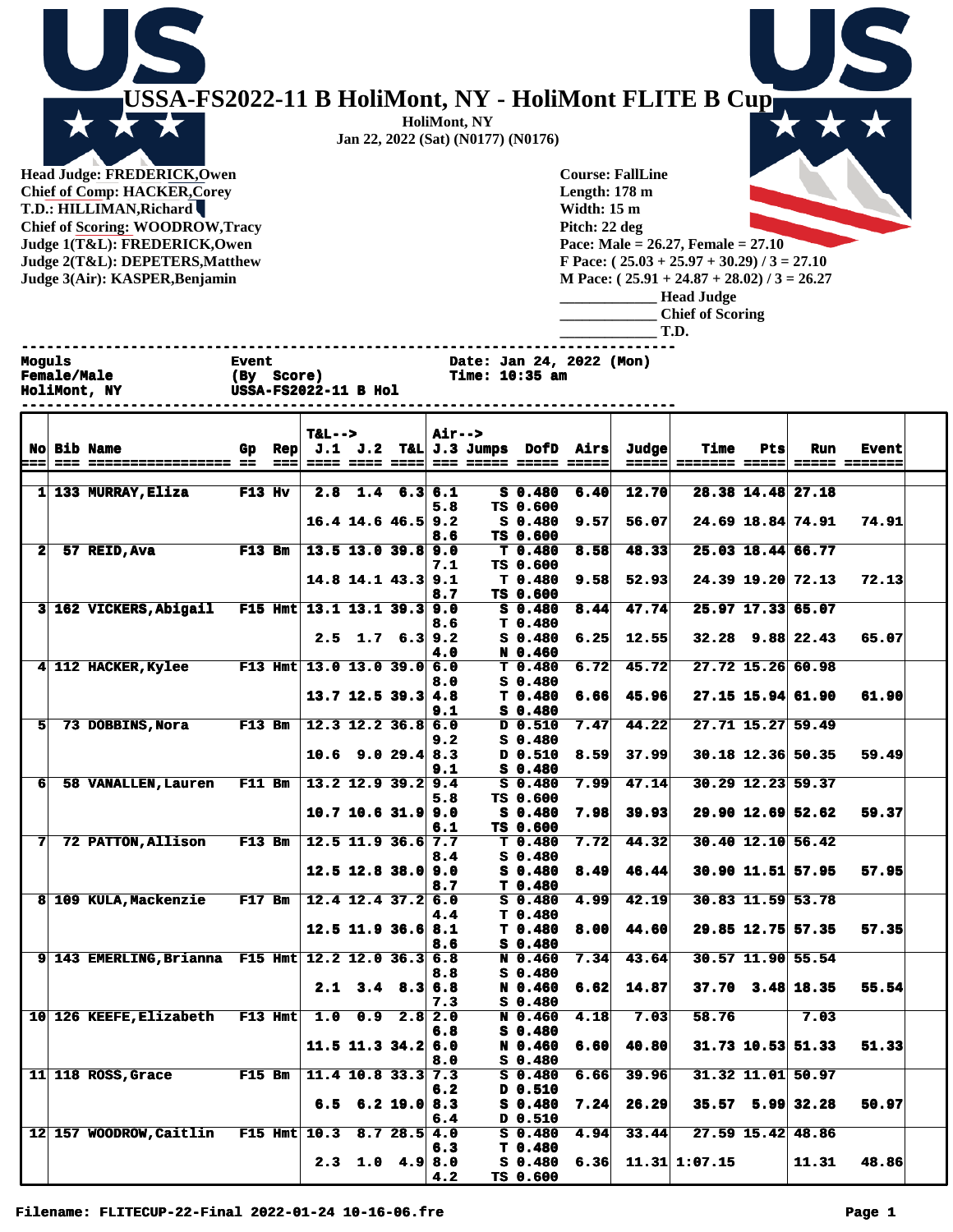

**Head Judge: FREDERICK,Owen Chief of Comp: HACKER,Corey T.D.: HILLIMAN,Richard Chief of Scoring: WOODROW,Tracy Judge 1(T&L): FREDERICK,Owen Judge 2(T&L): DEPETERS,Matthew Judge 3(Air): KASPER,Benjamin** 

**Course: FallLine Length: 178 m Width: 15 m Pitch: 22 deg Pace: Male = 26.27, Female = 27.10 F Pace: ( 25.03 + 25.97 + 30.29) / 3 = 27.10 M Pace: ( 25.91 + 24.87 + 28.02) / 3 = 26.27 \_\_\_\_\_\_\_\_\_\_\_\_\_ Head Judge \_\_\_\_\_\_\_\_\_\_\_\_\_ Chief of Scoring**

**\_\_\_\_\_\_\_\_\_\_\_\_\_ T.D.**

|                | Moguls | <b>Female/Male</b><br>HoliMont, NY          | <b>Event</b><br>(By Score)<br><b>USSA-FS2022-11 B Hol</b> |            |                            |                          |  | Date: Jan 24, 2022 (Mon)<br>Time: 10:35 am |                       |                       |      |                                                      |      |     |                     |                               |
|----------------|--------|---------------------------------------------|-----------------------------------------------------------|------------|----------------------------|--------------------------|--|--------------------------------------------|-----------------------|-----------------------|------|------------------------------------------------------|------|-----|---------------------|-------------------------------|
| l=== 1         | $==$   | <b>No Bib Name</b><br>================== == | Gp                                                        | Rep<br>=== | $T&L-->$                   | ==== ==== ====           |  | Air-->                                     | === ===== ===== ===== |                       |      | $J.1$ $J.2$ T&L $J.3$ Jumps DofD Airs Judge<br>===== | Time | Pts | Run                 | <b>Event</b><br>===== ======= |
|                |        | $1 133$ MURRAY, Eliza                       | $F13$ Hv                                                  |            |                            | $2.8$ 1.4 6.3 6.1        |  |                                            |                       | $S_0.480$             | 6.40 | 12.70                                                |      |     | 28.38 14.48 27.18   |                               |
|                |        |                                             |                                                           |            |                            |                          |  | 5.8                                        |                       | TS 0.600              |      |                                                      |      |     |                     |                               |
|                |        |                                             |                                                           |            |                            | $16.4$ 14.6 46.5 9.2     |  | 8.6                                        |                       | $S_0.480$<br>TS 0.600 | 9.57 | 56.07                                                |      |     | 24.69 18.84 74.91   | 74.91                         |
| 2 <sup>1</sup> |        | 57 REID, Ava                                | <b>F13 Bm</b>                                             |            |                            | $13.5$ 13.0 39.8 9.0     |  |                                            |                       | T 0.480               | 8.58 | 48.33                                                |      |     | 25.03 18.44 66.77   |                               |
|                |        |                                             |                                                           |            |                            |                          |  | 7.1                                        |                       | TS 0.600              |      |                                                      |      |     |                     |                               |
|                |        |                                             |                                                           |            |                            | $14.8$ 14.1 43.3 9.1     |  |                                            |                       | T <sub>0.480</sub>    | 9.58 | 52.93                                                |      |     | 24.39 19.20 72.13   | 72.13                         |
|                |        |                                             |                                                           |            |                            |                          |  | 8.7                                        |                       | TS 0.600              |      |                                                      |      |     |                     |                               |
|                |        | 3 162 VICKERS, Abigail                      |                                                           |            | F15 Hmt 13.1 13.1 39.3 9.0 |                          |  |                                            |                       | S 0.480               | 8.44 | 47.74                                                |      |     | 25.97 17.33 65.07   |                               |
|                |        |                                             |                                                           |            |                            |                          |  | 8.6                                        |                       | T <sub>0.480</sub>    |      |                                                      |      |     |                     |                               |
|                |        |                                             |                                                           |            |                            | $2.5$ 1.7 6.3 9.2        |  |                                            |                       | $S_0.480$             | 6.25 | 12.55                                                |      |     | $32.28$ 9.88 22.43  | 65.07                         |
|                |        | 4 112 HACKER, Kylee                         |                                                           |            | F13 Hmt 13.0 13.0 39.0 6.0 |                          |  | 4.0                                        |                       | N 0.460<br>T 0.480    |      | $6.72$ 45.72                                         |      |     | 27.72 15.26 60.98   |                               |
|                |        |                                             |                                                           |            |                            |                          |  | 8.0                                        |                       | $S_0.480$             |      |                                                      |      |     |                     |                               |
|                |        |                                             |                                                           |            |                            | $13.7$ 12.5 39.3 4.8     |  |                                            |                       | T <sub>0.480</sub>    | 6.66 | 45.96                                                |      |     | 27.15 15.94 61.90   | 61.90                         |
|                |        |                                             |                                                           |            |                            |                          |  | 9.1                                        |                       | $S_0.480$             |      |                                                      |      |     |                     |                               |
| 51             |        | 73 DOBBINS, Nora                            | $F13$ Bm                                                  |            |                            | $12.3$ $12.2$ $36.8$ 6.0 |  |                                            |                       | D 0.510               | 7.47 | 44.22                                                |      |     | 27.71 15.27 59.49   |                               |
|                |        |                                             |                                                           |            |                            |                          |  | 9.2                                        |                       | $S_0.480$             |      |                                                      |      |     |                     |                               |
|                |        |                                             |                                                           |            |                            | $10.6$ 9.0 29.4 8.3      |  |                                            |                       | D 0.510               | 8.59 | 37.99                                                |      |     | 30.18 12.36 50.35   | 59.49                         |
|                |        |                                             |                                                           |            |                            |                          |  | 9.1                                        |                       | $S_0.480$             |      |                                                      |      |     |                     |                               |
| 61             |        | 58 VANALLEN, Lauren                         | <b>F11 Bm</b>                                             |            |                            | $13.2$ 12.9 39.2 9.4     |  |                                            |                       | $S_0.480$             | 7.99 | 47.14                                                |      |     | $30.29$ 12.23 59.37 |                               |
|                |        |                                             |                                                           |            |                            |                          |  | 5.8                                        |                       | TS 0.600              |      |                                                      |      |     |                     |                               |
|                |        |                                             |                                                           |            |                            | $10.7$ 10.6 31.9 9.0     |  |                                            |                       | $S_0.480$             | 7.98 | 39.93                                                |      |     | 29.90 12.69 52.62   | 59.37                         |

**6.1 TS 0.600**

**8.4 S 0.480**

**8.6 S 0.480**

**6.8 S 0.480**

**8.0 S 0.480**

**6.2 D 0.510**

**6.4 D 0.510**

**4.2 TS 0.600**

**6.3 T 0.480**

**4.4 T 0.480**

**12.5 12.8 38.0 9.0 S 0.480 8.49 46.44 30.90 11.51 57.95 57.95**

**12.5 11.9 36.6 8.1 T 0.480 8.00 44.60 29.85 12.75 57.35 57.35**

**11.5 11.3 34.2 6.0 N 0.460 6.60 40.80 31.73 10.53 51.33 51.33**

**6.5 6.2 19.0 8.3 S 0.480 7.24 26.29 35.57 5.99 32.28 50.97**

**2.3 1.0 4.9 8.0 S 0.480 6.36 11.31 1:07.15 11.31 48.86**

**2.1 3.4 8.3 6.8 N 0.460 6.62 14.87 37.70 3.48 18.35 55.54**

**7 72 PATTON,Allison F13 Bm 12.5 11.9 36.6 7.7 T 0.480 7.72 44.32 30.40 12.10 56.42** 

**8.7** T 0.480<br>12.4 12.4 37.2 6.0 S 0.480 **8 109 KULA,Mackenzie F17 Bm 12.4 12.4 37.2 6.0 S 0.480 4.99 42.19 30.83 11.59 53.78** 

**9 143 EMERLING,Brianna F15 Hmt 12.2 12.0 36.3 6.8 N 0.460 7.34 43.64 30.57 11.90 55.54 8.8** S 0.480<br>**2.1** 3.4 8.3 6.8 N 0.460

**7.3 S 0.480 10 126 KEEFE,Elizabeth F13 Hmt 1.0 0.9 2.8 2.0 N 0.460 4.18 7.03 58.76 7.03** 

**11 118 ROSS,Grace F15 Bm 11.4 10.8 33.3 7.3 S 0.480 6.66 39.96 31.32 11.01 50.97** 

**12 157 WOODROW,Caitlin F15 Hmt 10.3 8.7 28.5 4.0 S 0.480 4.94 33.44 27.59 15.42 48.86** 

**HoliMont, NY Jan 22, 2022 (Sat) (N0177) (N0176)**

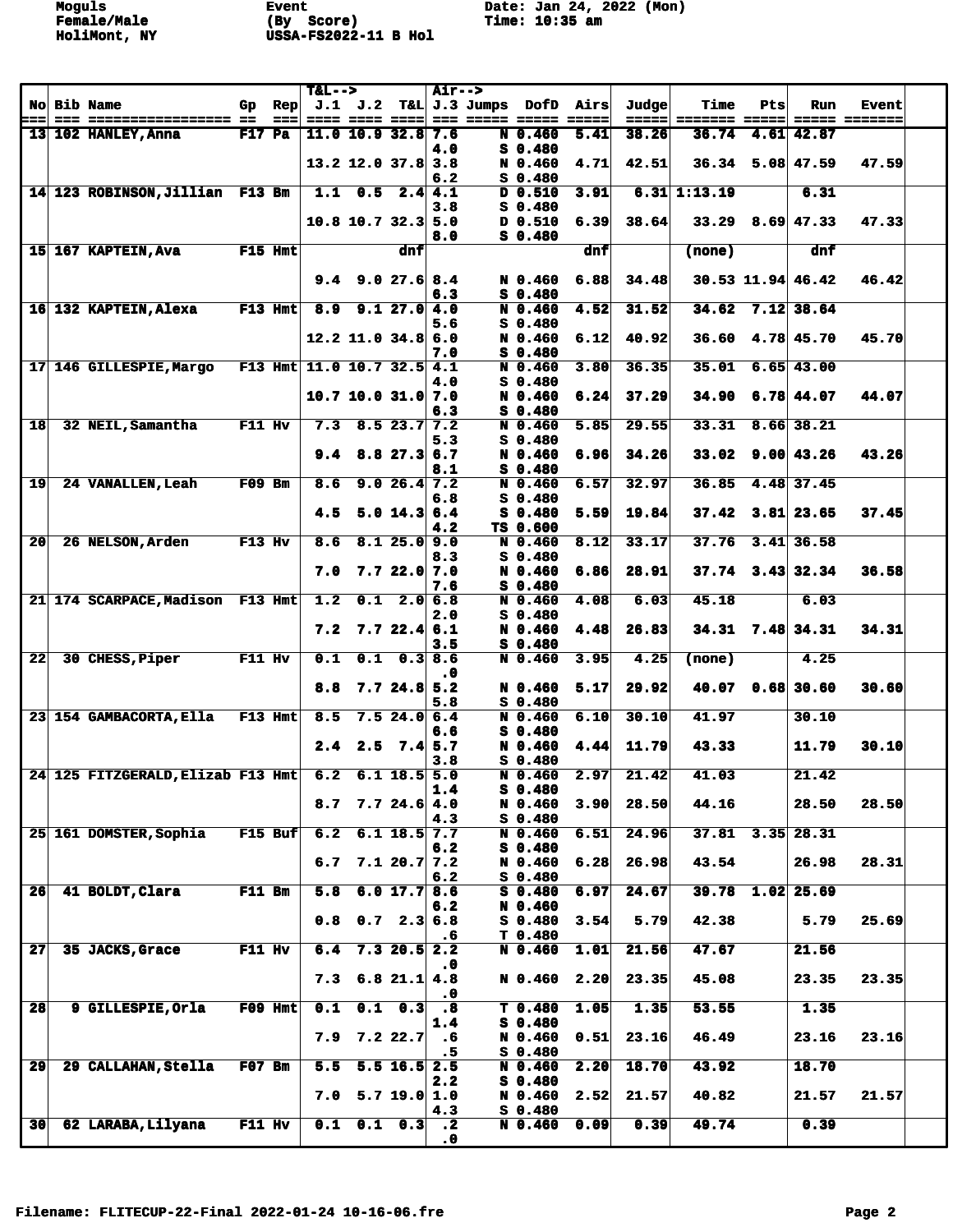|                 |                                       |               |                | $T&L-->$                   |                      |                           | <b>Air--&gt;</b>              |                                       |      |       |                      |     |                        |                      |  |
|-----------------|---------------------------------------|---------------|----------------|----------------------------|----------------------|---------------------------|-------------------------------|---------------------------------------|------|-------|----------------------|-----|------------------------|----------------------|--|
|                 | <b>No Bib Name</b>                    | Gp            | $\mathbf{Rep}$ |                            |                      |                           |                               | $J.1$ $J.2$ T&L $J.3$ Jumps DofD Airs |      | Judge | Time                 | Pts | Run                    | <b>Event</b>         |  |
| ゠゠゠             | --- ----------------- --              |               | $==$           |                            |                      |                           |                               | ==== ==== ==== === ===== ===== =====  |      | ===== | <b>======= =====</b> |     |                        | <b>===== =======</b> |  |
|                 | 13 102 HANLEY, Anna                   | <b>F17 Pa</b> |                |                            | $11.0$ 10.9 32.8 7.6 |                           |                               | $N$ 0.460                             | 5.41 | 38.26 | 36.74                |     | 4.61 42.87             |                      |  |
|                 |                                       |               |                |                            |                      |                           | 4.0                           | $S$ 0.480                             |      |       |                      |     |                        |                      |  |
|                 |                                       |               |                |                            | $13.2$ 12.0 37.8 3.8 |                           |                               | N 0.460<br>$S$ 0.480                  | 4.71 | 42.51 | 36.34                |     | $5.08$ 47.59           | 47.59                |  |
|                 | 14 123 ROBINSON, Jillian F13 Bm       |               |                |                            | $1.1 \t0.5$          |                           | 6.2<br>2.4 4.1                | $D$ 0.510                             | 3.91 |       | $6.31$ 1:13.19       |     | 6.31                   |                      |  |
|                 |                                       |               |                |                            |                      |                           | 3.8                           | $S$ 0.480                             |      |       |                      |     |                        |                      |  |
|                 |                                       |               |                |                            | $10.8$ 10.7 32.3 5.0 |                           |                               | $D$ 0.510                             | 6.39 | 38.64 |                      |     | $33.29$ $8.69$ 47.33   | 47.33                |  |
|                 |                                       |               |                |                            |                      |                           | 8.0                           | $S$ 0.480                             |      |       |                      |     |                        |                      |  |
|                 | 15 167 KAPTEIN, Ava                   |               | F15 Hmt        |                            |                      | dnf                       |                               |                                       | dnf  |       | (none)               |     | dnf                    |                      |  |
|                 |                                       |               |                |                            |                      |                           |                               |                                       |      |       |                      |     |                        |                      |  |
|                 |                                       |               |                | 9.4                        |                      | 9.027.68.4                |                               | N 0.460                               | 6.88 | 34.48 |                      |     | $30.53$ 11.94 46.42    | 46.42                |  |
|                 |                                       |               |                |                            |                      |                           | 6.3                           | $S$ 0.480                             |      |       |                      |     |                        |                      |  |
|                 | 16 132 KAPTEIN, Alexa                 |               | $F13$ Hmt      | 8.9                        |                      | 9.127.04.0                |                               | N 0.460                               | 4.52 | 31.52 | 34.62                |     | $7.12$ 38.64           |                      |  |
|                 |                                       |               |                |                            |                      |                           | 5.6                           | $S_0.480$                             |      |       |                      |     |                        |                      |  |
|                 |                                       |               |                |                            | $12.2$ 11.0 34.8 6.0 |                           |                               | N 0.460                               | 6.12 | 40.92 |                      |     | $36.60$ 4.78 45.70     | 45.70                |  |
|                 |                                       |               |                |                            |                      |                           | 7.0                           | $S$ 0.480                             |      |       |                      |     |                        |                      |  |
|                 | 17 146 GILLESPIE, Margo               |               |                | F13 Hmt 11.0 10.7 32.5 4.1 |                      |                           |                               | N 0.460                               | 3.80 | 36.35 | 35.01                |     | $6.65$ 43.00           |                      |  |
|                 |                                       |               |                |                            | $10.7$ 10.0 31.0 7.0 |                           | 4.0                           | $S$ 0.480<br>N 0.460                  | 6.24 | 37.29 |                      |     | $34.90$ 6.78 $44.07$   | 44.07                |  |
|                 |                                       |               |                |                            |                      |                           | 6.3                           | $S$ 0.480                             |      |       |                      |     |                        |                      |  |
| 18              | 32 NEIL, Samantha                     | F11 Hv        |                | 7.3                        |                      | $8.5$ 23.7 7.2            |                               | N 0.460                               | 5.85 | 29.55 | 33.31                |     | $8.66$ 38.21           |                      |  |
|                 |                                       |               |                |                            |                      |                           | 5.3                           | S 0.480                               |      |       |                      |     |                        |                      |  |
|                 |                                       |               |                | 9.4                        |                      | $8.8$ 27.3 6.7            |                               | N 0.460                               | 6.96 | 34.26 |                      |     | $33.02$ 9.00 43.26     | 43.26                |  |
|                 |                                       |               |                |                            |                      |                           | 8.1                           | $S$ 0.480                             |      |       |                      |     |                        |                      |  |
| 19              | 24 VANALLEN, Leah                     | $F09$ Bm      |                | 8.6                        |                      | 9.026.47.2                |                               | N 0.460                               | 6.57 | 32.97 | 36.85                |     | 4.48 37.45             |                      |  |
|                 |                                       |               |                |                            |                      |                           | 6.8                           | $S$ 0.480                             |      |       |                      |     |                        |                      |  |
|                 |                                       |               |                | 4.5                        |                      | 5.0 14.3 6.4              |                               | $S$ 0.480                             | 5.59 | 19.84 | 37.42                |     | $3.81$ 23.65           | 37.45                |  |
|                 |                                       |               |                |                            |                      |                           | 4.2                           | TS 0.600                              |      |       |                      |     |                        |                      |  |
| 20              | 26 NELSON, Arden                      | $F13$ Hv      |                | 8.6                        |                      | 8.125.09.0                | 8.3                           | N 0.460<br>$S$ 0.480                  | 8.12 | 33.17 |                      |     | $37.76$ $3.41$ $36.58$ |                      |  |
|                 |                                       |               |                | 7.0                        |                      | 7.722.07.0                |                               | N 0.460                               | 6.86 | 28.91 |                      |     | $37.74$ $3.43$ $32.34$ | 36.58                |  |
|                 |                                       |               |                |                            |                      |                           | 7.6                           | $S$ 0.480                             |      |       |                      |     |                        |                      |  |
|                 | 21 174 SCARPACE, Madison F13 Hmt      |               |                | 1.2                        |                      | $0.1 \quad 2.0 \quad 6.8$ |                               | N 0.460                               | 4.08 | 6.03  | 45.18                |     | 6.03                   |                      |  |
|                 |                                       |               |                |                            |                      |                           | 2.0                           | $S$ 0.480                             |      |       |                      |     |                        |                      |  |
|                 |                                       |               |                | 7.2                        |                      | 7.722.46.1                |                               | N 0.460                               | 4.48 | 26.83 |                      |     | $34.31$ 7.48 34.31     | 34.31                |  |
|                 |                                       |               |                |                            |                      |                           | 3.5                           | $S$ 0.480                             |      |       |                      |     |                        |                      |  |
| 22              | 30 CHESS, Piper                       | F11 Hv        |                | 0.1                        | 0.1                  | 0.38.6                    |                               | N 0.460                               | 3.95 | 4.25  | (none)               |     | 4.25                   |                      |  |
|                 |                                       |               |                |                            |                      |                           | . 0                           |                                       |      |       |                      |     |                        |                      |  |
|                 |                                       |               |                | 8.8                        |                      | $7.7$ 24.8 5.2            |                               | N 0.460<br>$S$ 0.480                  | 5.17 | 29.92 |                      |     | 40.07 0.68 30.60       | 30.60                |  |
|                 | 23 154 GAMBACORTA, Ella               |               | $F13$ Hmt      | 8.5                        |                      | 7.524.06.4                | 5.8                           | $N$ 0.460                             | 6.10 | 30.10 | 41.97                |     | 30.10                  |                      |  |
|                 |                                       |               |                |                            |                      |                           | 6.6                           | S 0.480                               |      |       |                      |     |                        |                      |  |
|                 |                                       |               |                | 2.4                        |                      | $2.5$ $7.4$ 5.7           |                               | N 0.460                               | 4.44 | 11.79 | 43.33                |     | 11.79                  | 30.10                |  |
|                 |                                       |               |                |                            |                      |                           | 3.8                           | $S_0.480$                             |      |       |                      |     |                        |                      |  |
|                 | 24 125 FITZGERALD, Elizab F13 Hmt 6.2 |               |                |                            |                      | $6.1$ 18.5 5.0            |                               | N 0.460                               | 2.97 | 21.42 | 41.03                |     | 21.42                  |                      |  |
|                 |                                       |               |                |                            |                      |                           | 1.4                           | $S_0.480$                             |      |       |                      |     |                        |                      |  |
|                 |                                       |               |                | 8.7                        |                      | 7.724.6 4.0               |                               | N 0.460                               | 3.90 | 28.50 | 44.16                |     | 28.50                  | 28.50                |  |
|                 |                                       |               |                |                            |                      |                           | 4.3                           | $S$ 0.480                             |      |       |                      |     |                        |                      |  |
|                 | 25 161 DOMSTER, Sophia                |               | $F15$ Buf      | 6.2                        |                      | $6.1$ 18.5 7.7            | 6.2                           | N 0.460<br>$S$ 0.480                  | 6.51 | 24.96 |                      |     | $37.81$ $3.35$ $28.31$ |                      |  |
|                 |                                       |               |                | 6.7                        |                      | 7.120.77.2                |                               | N 0.460                               | 6.28 | 26.98 | 43.54                |     | 26.98                  | 28.31                |  |
|                 |                                       |               |                |                            |                      |                           | 6.2                           | $S$ 0.480                             |      |       |                      |     |                        |                      |  |
| 26              | 41 BOLDT, Clara                       | <b>F11 Bm</b> |                | 5.8                        |                      | 6.0 17.7 8.6              |                               | $S$ 0.480                             | 6.97 | 24.67 | 39.78                |     | $1.02$ 25.69           |                      |  |
|                 |                                       |               |                |                            |                      |                           | 6.2                           | N 0.460                               |      |       |                      |     |                        |                      |  |
|                 |                                       |               |                | 0.8                        |                      | $0.7$ 2.3 6.8             |                               | $S$ 0.480                             | 3.54 | 5.79  | 42.38                |     | 5.79                   | 25.69                |  |
|                 |                                       |               |                |                            |                      |                           | .6                            | T 0.480                               |      |       |                      |     |                        |                      |  |
| 27              | 35 JACKS, Grace                       | $F11$ Hv      |                | 6.4                        |                      | $7.3$ 20.5 2.2            |                               | N 0.460                               | 1.01 | 21.56 | 47.67                |     | 21.56                  |                      |  |
|                 |                                       |               |                | 7.3                        |                      | $6.8$ 21.1 4.8            | $\cdot$ 0                     | N 0.460                               | 2.20 | 23.35 | 45.08                |     | 23.35                  | 23.35                |  |
|                 |                                       |               |                |                            |                      |                           | $\cdot$ 0                     |                                       |      |       |                      |     |                        |                      |  |
| 28              | 9 GILLESPIE, Orla                     |               | $F09$ Hmt      | 0.1                        |                      | $0.1 \quad 0.3$           | $\cdot$ 8                     | T 0.480                               | 1.05 | 1.35  | 53.55                |     | 1.35                   |                      |  |
|                 |                                       |               |                |                            |                      |                           | 1.4                           | $S$ 0.480                             |      |       |                      |     |                        |                      |  |
|                 |                                       |               |                | 7.9                        |                      | 7.222.7                   | .6                            | N 0.460                               | 0.51 | 23.16 | 46.49                |     | 23.16                  | 23.16                |  |
|                 |                                       |               |                |                            |                      |                           | .5                            | $S$ 0.480                             |      |       |                      |     |                        |                      |  |
| 29              | 29 CALLAHAN, Stella                   | $F07$ Bm      |                | 5.5                        |                      | $5.5$ 16.5 2.5            |                               | N 0.460                               | 2.20 | 18.70 | 43.92                |     | 18.70                  |                      |  |
|                 |                                       |               |                |                            |                      |                           | 2.2                           | $S_0.480$                             |      |       |                      |     |                        |                      |  |
|                 |                                       |               |                | 7.0                        |                      | $5.7$ 19.0 1.0            |                               | N 0.460                               | 2.52 | 21.57 | 40.82                |     | 21.57                  | 21.57                |  |
| 30 <sup>1</sup> | 62 LARABA, Lilyana                    | <b>F11 Hv</b> |                | 0.1                        |                      | $0.1 \quad 0.3$           | 4.3<br>$\ddot{\phantom{2}}$ . | $S$ 0.480<br>N 0.460                  | 0.09 | 0.39  | 49.74                |     | 0.39                   |                      |  |
|                 |                                       |               |                |                            |                      |                           | $\ddot{\bm{0}}$               |                                       |      |       |                      |     |                        |                      |  |
|                 |                                       |               |                |                            |                      |                           |                               |                                       |      |       |                      |     |                        |                      |  |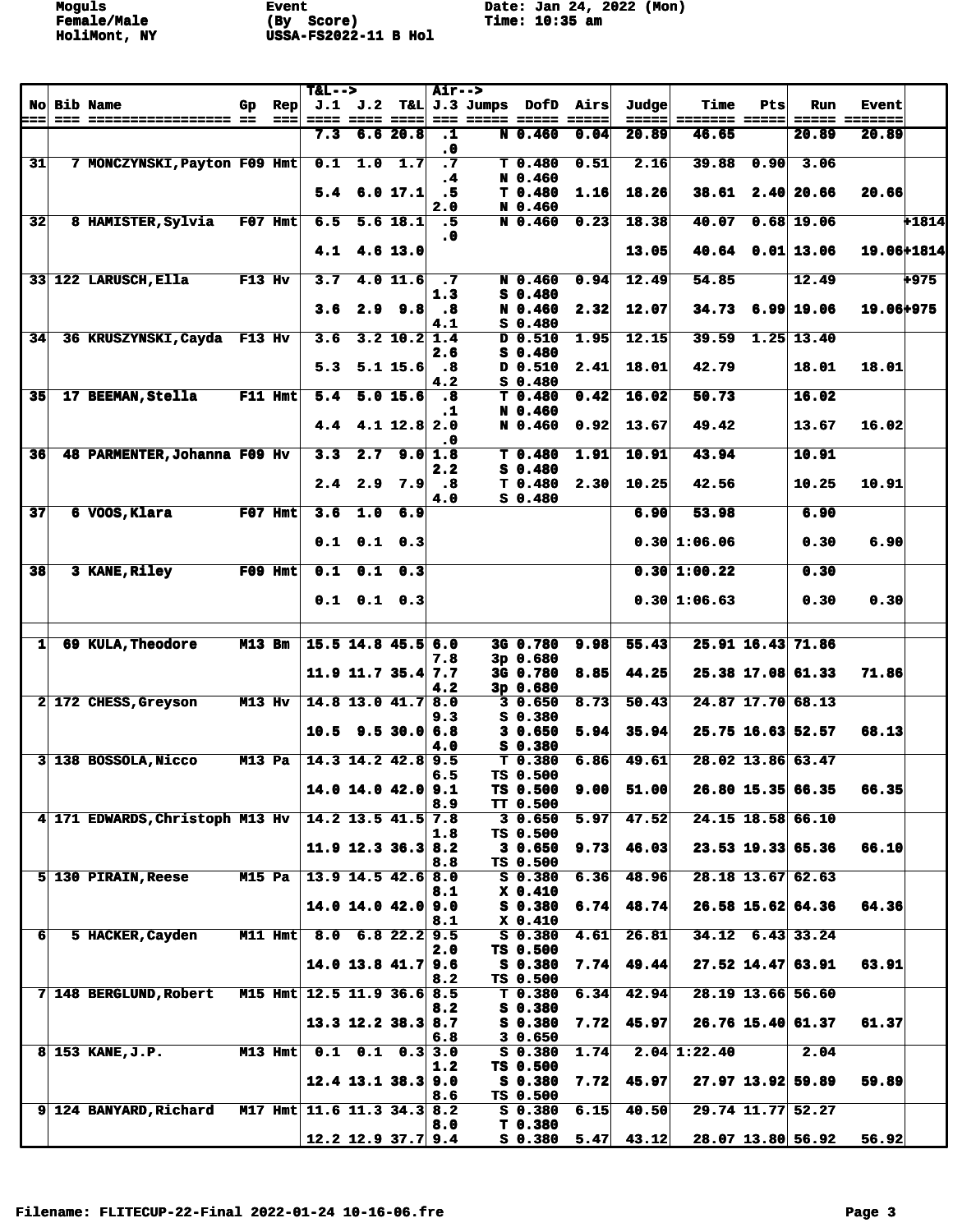| <b>No Bib Name</b><br>$J.1$ $J.2$<br>T&L J.3 Jumps<br>DofD<br>Airs<br>Judge<br><b>Time</b><br>$\mathbf{Rep}$<br>Pts<br>Run<br><b>Event</b><br>Gp.<br>=== ===== =====<br>$==$<br>==== ==== ==== <br>$=  =  =  =$<br>$= 2222$<br>======= =====<br>===== =======<br>===<br>6.620.8<br>7.3<br>N 0.460<br>0.04<br>20.89<br>46.65<br>20.89<br>$\cdot$ 1<br>20.89<br>$\ddot{\phantom{0}}$<br>1.0<br>$\overline{\cdot \cdot \cdot}$<br>39.88<br>31<br>7 MONCZYNSKI, Payton F09 Hmt<br>0.1<br>1.7<br>0.51<br>2.16<br>0.90<br>3.06<br>T <sub>0.480</sub><br>N 0.460<br>$\cdot$ 4<br>18.26<br>6.0 17.1<br>.5<br>T <sub>0.480</sub><br>1.16<br>$38.61$ 2.40 20.66<br>20.66<br>5.4<br>2.0<br>N 0.460<br>32<br>18.38<br>40.07<br>$0.68$ 19.06<br>8 HAMISTER, Sylvia<br>$F07$ Hmt<br>6.5<br>$5.6$ 18.1<br>.5<br>N 0.460<br>0.23<br>.0<br>4.1<br>$4.6$ 13.0<br>13.05<br>$40.64$ $0.01$ 13.06<br>54.85<br>33 122 LARUSCH, Ella<br>$F13$ Hv<br>$4.0$ 11.6<br>0.94<br>12.49<br>12.49<br>+975<br>3.7<br>$\cdot$ 7<br>N 0.460<br>$S$ 0.480<br>1.3<br>3.6<br>$2.9$ $9.8$<br>12.07<br>$34.73$ 6.99 19.06<br>19.06+975<br>N 0.460<br>2.32<br>.8<br>$S$ 0.480<br>4.1<br>12.15<br>39.59<br>$1.25$ 13.40<br>34<br>36 KRUSZYNSKI, Cayda F13 Hv<br>3.6<br>$3.2$ 10.2 1.4<br>D 0.510<br>1.95<br>$S$ 0.480<br>2.6<br>$5.1 \; 15.6$<br>D 0.510<br>18.01<br>42.79<br>18.01<br>5.3<br>$\boldsymbol{\cdot}$ 8<br>2.41<br>18.01<br>$S_0.480$<br>4.2<br>16.02<br>50.73<br>35<br>17 BEEMAN, Stella<br>$F11$ Hmt<br>5.0 15.6<br>$T$ 0.480<br>0.42<br>16.02<br>5.4<br>.8<br>N 0.460<br>.1<br>$4.1$ 12.8 2.0<br>13.67<br>49.42<br>16.02<br>4.4<br>N 0.460<br>0.92<br>13.67<br>.0<br>9.0 1.8<br>10.91<br>43.94<br>10.91<br>36<br>48 PARMENTER, Johanna F09 Hv<br>3.3<br>2.7<br>T <sub>0.480</sub><br>1.91<br>$S$ 0.480<br>2.2<br>10.91<br>2.4<br>2.9<br>7.9<br>$\overline{\phantom{a}}$ .8<br>T <sub>0.480</sub><br>2.30<br>10.25<br>42.56<br>10.25<br>$S$ 0.480<br>4.0<br>53.98<br>37<br>$F07$ Hmt<br>3.6<br>1.0<br>6.9<br>6.90<br>6 VOOS, Klara<br>6.90<br>$0.1$ $0.1$ $0.3$<br>0.30 1:06.06<br>0.30<br>6.90<br>0.1<br>38<br>3 KANE, Riley<br>$F09$ Hmt<br>0.1<br>0.3<br>0.30 1:00.22<br>0.30<br>$0.1$ $0.1$ $0.3$<br>0.30 1:06.63<br>0.30<br>0.30<br>$15.5$ 14.8 45.5 6.0<br>55.43<br>25.91 16.43 71.86<br>69 KULA, Theodore<br><b>M13 Bm</b><br>3G 0.780<br>9.98<br>11<br>3p 0.680<br>7.8<br>$11.9$ 11.7 35.4 7.7<br>3G 0.780<br>8.85<br>44.25<br>25.38 17.08 61.33<br>71.86<br>3p 0.680<br>4.2<br>50.43<br>24.87 17.70 68.13<br>2 172 CHESS, Greyson<br>M13 Hv<br>$14.8$ 13.0 $41.7$ 8.0<br>30.650<br>8.73<br>S 0.380<br>9.3<br>30.650<br>5.94<br>35.94<br>25.75 16.63 52.57<br>68.13<br>10.5<br>$9.5$ 30.0 6.8<br>$S_0.380$<br>4.0<br>3 138 BOSSOLA, Nicco<br>14.3 14.2 42.8 9.5<br>T <sub>0.380</sub><br>6.86<br>49.61<br>28.02 13.86 63.47<br><b>M13 Pa</b><br>TS 0.500<br>6.5<br>$14.0$ 14.0 42.0 9.1<br>51.00<br>26.80 15.35 66.35<br>66.35<br>TS 0.500<br>9.00<br>TT 0.500<br>8.9<br>47.52<br>24.15 18.58 66.10<br>$14.2$ 13.5 $41.5$ 7.8<br>30.650<br>5.97<br>4 171 EDWARDS, Christoph M13 Hv<br>TS 0.500<br>1.8<br>66.10<br>11.9 12.3 36.3 8.2<br>46.03<br>23.53 19.33 65.36<br>30.650<br>9.73<br>TS 0.500<br>8.8<br>28.18 13.67 62.63<br><b>M15 Pa</b><br>$13.9$ 14.5 42.6 8.0<br>48.96<br>5 130 PIRAIN, Reese<br>S 0.380<br>6.36<br>X 0.410<br>8.1<br>6.74<br>48.74<br>$26.58$ 15.62 64.36<br>64.36<br>$14.0$ 14.0 $42.0$ 9.0<br>$S_0.380$<br>8.1<br>X 0.410<br>34.12 6.43 33.24<br>6 <sup>1</sup><br>$M11$ Hmt<br>$8.0 \quad 6.8 \quad 22.2 \quad 9.5$<br>4.61<br>26.81<br>5 HACKER, Cayden<br>S 0.380<br>TS 0.500<br>2.0<br>49.44<br>$27.52$ 14.47 63.91<br>63.91<br>$14.0$ 13.8 $41.7$ 9.6<br>$S$ 0.380<br>7.74<br>TS 0.500<br>8.2<br>28.19 13.66 56.60<br>7 148 BERGLUND, Robert<br>M15 Hmt 12.5 11.9 36.6 8.5<br>T 0.380<br>6.34<br>42.94<br>$S_0.380$<br>8.2<br>$S_0.380$<br>45.97<br>26.76 15.40 61.37<br>61.37<br>$13.3$ 12.2 38.3 8.7<br>7.72<br>30.650<br>6.8<br>$2.04$ 1:22.40<br>$M13$ Hmt<br>$0.1$ $0.1$ $0.3$ 3.0<br>S 0.380<br>1.74<br>2.04<br>$8 153$ KANE, $J.P.$<br>TS 0.500<br>1.2<br>59.89<br>$12.4$ 13.1 38.3 9.0<br>$S$ 0.380<br>7.72<br>45.97<br>27.97 13.92 59.89<br>TS 0.500<br>8.6<br>29.74 11.77 52.27<br>9 124 BANYARD, Richard<br>M17 Hmt 11.6 11.3 34.3 8.2<br>6.15<br>40.50<br>$S_0.380$<br>8.0<br>T <sub>0.380</sub><br>$12.2$ 12.9 37.7 9.4<br>$5.47 \mid 43.12 \mid$<br>56.92<br>S 0.380<br>28.07 13.80 56.92 |  |  | $T&L-->$ |  | <b>Air--&gt;</b> |  |  |  |  |  |
|----------------------------------------------------------------------------------------------------------------------------------------------------------------------------------------------------------------------------------------------------------------------------------------------------------------------------------------------------------------------------------------------------------------------------------------------------------------------------------------------------------------------------------------------------------------------------------------------------------------------------------------------------------------------------------------------------------------------------------------------------------------------------------------------------------------------------------------------------------------------------------------------------------------------------------------------------------------------------------------------------------------------------------------------------------------------------------------------------------------------------------------------------------------------------------------------------------------------------------------------------------------------------------------------------------------------------------------------------------------------------------------------------------------------------------------------------------------------------------------------------------------------------------------------------------------------------------------------------------------------------------------------------------------------------------------------------------------------------------------------------------------------------------------------------------------------------------------------------------------------------------------------------------------------------------------------------------------------------------------------------------------------------------------------------------------------------------------------------------------------------------------------------------------------------------------------------------------------------------------------------------------------------------------------------------------------------------------------------------------------------------------------------------------------------------------------------------------------------------------------------------------------------------------------------------------------------------------------------------------------------------------------------------------------------------------------------------------------------------------------------------------------------------------------------------------------------------------------------------------------------------------------------------------------------------------------------------------------------------------------------------------------------------------------------------------------------------------------------------------------------------------------------------------------------------------------------------------------------------------------------------------------------------------------------------------------------------------------------------------------------------------------------------------------------------------------------------------------------------------------------------------------------------------------------------------------------------------------------------------------------------------------------------------------------------------------------------------------------------------------------------------------------------------------------------------------------------------------------------------------------------------------------------------------------------------------------------------------------------------------------------------------------------------------------------------------------------------------------------------------------------------------------------------------------------------------------------------------------------------------------------------------------------------------------------------------------------------------------------------------------------------------------------------------|--|--|----------|--|------------------|--|--|--|--|--|
|                                                                                                                                                                                                                                                                                                                                                                                                                                                                                                                                                                                                                                                                                                                                                                                                                                                                                                                                                                                                                                                                                                                                                                                                                                                                                                                                                                                                                                                                                                                                                                                                                                                                                                                                                                                                                                                                                                                                                                                                                                                                                                                                                                                                                                                                                                                                                                                                                                                                                                                                                                                                                                                                                                                                                                                                                                                                                                                                                                                                                                                                                                                                                                                                                                                                                                                                                                                                                                                                                                                                                                                                                                                                                                                                                                                                                                                                                                                                                                                                                                                                                                                                                                                                                                                                                                                                                                                                                      |  |  |          |  |                  |  |  |  |  |  |
| +1814                                                                                                                                                                                                                                                                                                                                                                                                                                                                                                                                                                                                                                                                                                                                                                                                                                                                                                                                                                                                                                                                                                                                                                                                                                                                                                                                                                                                                                                                                                                                                                                                                                                                                                                                                                                                                                                                                                                                                                                                                                                                                                                                                                                                                                                                                                                                                                                                                                                                                                                                                                                                                                                                                                                                                                                                                                                                                                                                                                                                                                                                                                                                                                                                                                                                                                                                                                                                                                                                                                                                                                                                                                                                                                                                                                                                                                                                                                                                                                                                                                                                                                                                                                                                                                                                                                                                                                                                                |  |  |          |  |                  |  |  |  |  |  |
|                                                                                                                                                                                                                                                                                                                                                                                                                                                                                                                                                                                                                                                                                                                                                                                                                                                                                                                                                                                                                                                                                                                                                                                                                                                                                                                                                                                                                                                                                                                                                                                                                                                                                                                                                                                                                                                                                                                                                                                                                                                                                                                                                                                                                                                                                                                                                                                                                                                                                                                                                                                                                                                                                                                                                                                                                                                                                                                                                                                                                                                                                                                                                                                                                                                                                                                                                                                                                                                                                                                                                                                                                                                                                                                                                                                                                                                                                                                                                                                                                                                                                                                                                                                                                                                                                                                                                                                                                      |  |  |          |  |                  |  |  |  |  |  |
|                                                                                                                                                                                                                                                                                                                                                                                                                                                                                                                                                                                                                                                                                                                                                                                                                                                                                                                                                                                                                                                                                                                                                                                                                                                                                                                                                                                                                                                                                                                                                                                                                                                                                                                                                                                                                                                                                                                                                                                                                                                                                                                                                                                                                                                                                                                                                                                                                                                                                                                                                                                                                                                                                                                                                                                                                                                                                                                                                                                                                                                                                                                                                                                                                                                                                                                                                                                                                                                                                                                                                                                                                                                                                                                                                                                                                                                                                                                                                                                                                                                                                                                                                                                                                                                                                                                                                                                                                      |  |  |          |  |                  |  |  |  |  |  |
|                                                                                                                                                                                                                                                                                                                                                                                                                                                                                                                                                                                                                                                                                                                                                                                                                                                                                                                                                                                                                                                                                                                                                                                                                                                                                                                                                                                                                                                                                                                                                                                                                                                                                                                                                                                                                                                                                                                                                                                                                                                                                                                                                                                                                                                                                                                                                                                                                                                                                                                                                                                                                                                                                                                                                                                                                                                                                                                                                                                                                                                                                                                                                                                                                                                                                                                                                                                                                                                                                                                                                                                                                                                                                                                                                                                                                                                                                                                                                                                                                                                                                                                                                                                                                                                                                                                                                                                                                      |  |  |          |  |                  |  |  |  |  |  |
|                                                                                                                                                                                                                                                                                                                                                                                                                                                                                                                                                                                                                                                                                                                                                                                                                                                                                                                                                                                                                                                                                                                                                                                                                                                                                                                                                                                                                                                                                                                                                                                                                                                                                                                                                                                                                                                                                                                                                                                                                                                                                                                                                                                                                                                                                                                                                                                                                                                                                                                                                                                                                                                                                                                                                                                                                                                                                                                                                                                                                                                                                                                                                                                                                                                                                                                                                                                                                                                                                                                                                                                                                                                                                                                                                                                                                                                                                                                                                                                                                                                                                                                                                                                                                                                                                                                                                                                                                      |  |  |          |  |                  |  |  |  |  |  |
|                                                                                                                                                                                                                                                                                                                                                                                                                                                                                                                                                                                                                                                                                                                                                                                                                                                                                                                                                                                                                                                                                                                                                                                                                                                                                                                                                                                                                                                                                                                                                                                                                                                                                                                                                                                                                                                                                                                                                                                                                                                                                                                                                                                                                                                                                                                                                                                                                                                                                                                                                                                                                                                                                                                                                                                                                                                                                                                                                                                                                                                                                                                                                                                                                                                                                                                                                                                                                                                                                                                                                                                                                                                                                                                                                                                                                                                                                                                                                                                                                                                                                                                                                                                                                                                                                                                                                                                                                      |  |  |          |  |                  |  |  |  |  |  |
| 19.06+1814                                                                                                                                                                                                                                                                                                                                                                                                                                                                                                                                                                                                                                                                                                                                                                                                                                                                                                                                                                                                                                                                                                                                                                                                                                                                                                                                                                                                                                                                                                                                                                                                                                                                                                                                                                                                                                                                                                                                                                                                                                                                                                                                                                                                                                                                                                                                                                                                                                                                                                                                                                                                                                                                                                                                                                                                                                                                                                                                                                                                                                                                                                                                                                                                                                                                                                                                                                                                                                                                                                                                                                                                                                                                                                                                                                                                                                                                                                                                                                                                                                                                                                                                                                                                                                                                                                                                                                                                           |  |  |          |  |                  |  |  |  |  |  |
|                                                                                                                                                                                                                                                                                                                                                                                                                                                                                                                                                                                                                                                                                                                                                                                                                                                                                                                                                                                                                                                                                                                                                                                                                                                                                                                                                                                                                                                                                                                                                                                                                                                                                                                                                                                                                                                                                                                                                                                                                                                                                                                                                                                                                                                                                                                                                                                                                                                                                                                                                                                                                                                                                                                                                                                                                                                                                                                                                                                                                                                                                                                                                                                                                                                                                                                                                                                                                                                                                                                                                                                                                                                                                                                                                                                                                                                                                                                                                                                                                                                                                                                                                                                                                                                                                                                                                                                                                      |  |  |          |  |                  |  |  |  |  |  |
|                                                                                                                                                                                                                                                                                                                                                                                                                                                                                                                                                                                                                                                                                                                                                                                                                                                                                                                                                                                                                                                                                                                                                                                                                                                                                                                                                                                                                                                                                                                                                                                                                                                                                                                                                                                                                                                                                                                                                                                                                                                                                                                                                                                                                                                                                                                                                                                                                                                                                                                                                                                                                                                                                                                                                                                                                                                                                                                                                                                                                                                                                                                                                                                                                                                                                                                                                                                                                                                                                                                                                                                                                                                                                                                                                                                                                                                                                                                                                                                                                                                                                                                                                                                                                                                                                                                                                                                                                      |  |  |          |  |                  |  |  |  |  |  |
|                                                                                                                                                                                                                                                                                                                                                                                                                                                                                                                                                                                                                                                                                                                                                                                                                                                                                                                                                                                                                                                                                                                                                                                                                                                                                                                                                                                                                                                                                                                                                                                                                                                                                                                                                                                                                                                                                                                                                                                                                                                                                                                                                                                                                                                                                                                                                                                                                                                                                                                                                                                                                                                                                                                                                                                                                                                                                                                                                                                                                                                                                                                                                                                                                                                                                                                                                                                                                                                                                                                                                                                                                                                                                                                                                                                                                                                                                                                                                                                                                                                                                                                                                                                                                                                                                                                                                                                                                      |  |  |          |  |                  |  |  |  |  |  |
|                                                                                                                                                                                                                                                                                                                                                                                                                                                                                                                                                                                                                                                                                                                                                                                                                                                                                                                                                                                                                                                                                                                                                                                                                                                                                                                                                                                                                                                                                                                                                                                                                                                                                                                                                                                                                                                                                                                                                                                                                                                                                                                                                                                                                                                                                                                                                                                                                                                                                                                                                                                                                                                                                                                                                                                                                                                                                                                                                                                                                                                                                                                                                                                                                                                                                                                                                                                                                                                                                                                                                                                                                                                                                                                                                                                                                                                                                                                                                                                                                                                                                                                                                                                                                                                                                                                                                                                                                      |  |  |          |  |                  |  |  |  |  |  |
|                                                                                                                                                                                                                                                                                                                                                                                                                                                                                                                                                                                                                                                                                                                                                                                                                                                                                                                                                                                                                                                                                                                                                                                                                                                                                                                                                                                                                                                                                                                                                                                                                                                                                                                                                                                                                                                                                                                                                                                                                                                                                                                                                                                                                                                                                                                                                                                                                                                                                                                                                                                                                                                                                                                                                                                                                                                                                                                                                                                                                                                                                                                                                                                                                                                                                                                                                                                                                                                                                                                                                                                                                                                                                                                                                                                                                                                                                                                                                                                                                                                                                                                                                                                                                                                                                                                                                                                                                      |  |  |          |  |                  |  |  |  |  |  |
|                                                                                                                                                                                                                                                                                                                                                                                                                                                                                                                                                                                                                                                                                                                                                                                                                                                                                                                                                                                                                                                                                                                                                                                                                                                                                                                                                                                                                                                                                                                                                                                                                                                                                                                                                                                                                                                                                                                                                                                                                                                                                                                                                                                                                                                                                                                                                                                                                                                                                                                                                                                                                                                                                                                                                                                                                                                                                                                                                                                                                                                                                                                                                                                                                                                                                                                                                                                                                                                                                                                                                                                                                                                                                                                                                                                                                                                                                                                                                                                                                                                                                                                                                                                                                                                                                                                                                                                                                      |  |  |          |  |                  |  |  |  |  |  |
|                                                                                                                                                                                                                                                                                                                                                                                                                                                                                                                                                                                                                                                                                                                                                                                                                                                                                                                                                                                                                                                                                                                                                                                                                                                                                                                                                                                                                                                                                                                                                                                                                                                                                                                                                                                                                                                                                                                                                                                                                                                                                                                                                                                                                                                                                                                                                                                                                                                                                                                                                                                                                                                                                                                                                                                                                                                                                                                                                                                                                                                                                                                                                                                                                                                                                                                                                                                                                                                                                                                                                                                                                                                                                                                                                                                                                                                                                                                                                                                                                                                                                                                                                                                                                                                                                                                                                                                                                      |  |  |          |  |                  |  |  |  |  |  |
|                                                                                                                                                                                                                                                                                                                                                                                                                                                                                                                                                                                                                                                                                                                                                                                                                                                                                                                                                                                                                                                                                                                                                                                                                                                                                                                                                                                                                                                                                                                                                                                                                                                                                                                                                                                                                                                                                                                                                                                                                                                                                                                                                                                                                                                                                                                                                                                                                                                                                                                                                                                                                                                                                                                                                                                                                                                                                                                                                                                                                                                                                                                                                                                                                                                                                                                                                                                                                                                                                                                                                                                                                                                                                                                                                                                                                                                                                                                                                                                                                                                                                                                                                                                                                                                                                                                                                                                                                      |  |  |          |  |                  |  |  |  |  |  |
|                                                                                                                                                                                                                                                                                                                                                                                                                                                                                                                                                                                                                                                                                                                                                                                                                                                                                                                                                                                                                                                                                                                                                                                                                                                                                                                                                                                                                                                                                                                                                                                                                                                                                                                                                                                                                                                                                                                                                                                                                                                                                                                                                                                                                                                                                                                                                                                                                                                                                                                                                                                                                                                                                                                                                                                                                                                                                                                                                                                                                                                                                                                                                                                                                                                                                                                                                                                                                                                                                                                                                                                                                                                                                                                                                                                                                                                                                                                                                                                                                                                                                                                                                                                                                                                                                                                                                                                                                      |  |  |          |  |                  |  |  |  |  |  |
|                                                                                                                                                                                                                                                                                                                                                                                                                                                                                                                                                                                                                                                                                                                                                                                                                                                                                                                                                                                                                                                                                                                                                                                                                                                                                                                                                                                                                                                                                                                                                                                                                                                                                                                                                                                                                                                                                                                                                                                                                                                                                                                                                                                                                                                                                                                                                                                                                                                                                                                                                                                                                                                                                                                                                                                                                                                                                                                                                                                                                                                                                                                                                                                                                                                                                                                                                                                                                                                                                                                                                                                                                                                                                                                                                                                                                                                                                                                                                                                                                                                                                                                                                                                                                                                                                                                                                                                                                      |  |  |          |  |                  |  |  |  |  |  |
|                                                                                                                                                                                                                                                                                                                                                                                                                                                                                                                                                                                                                                                                                                                                                                                                                                                                                                                                                                                                                                                                                                                                                                                                                                                                                                                                                                                                                                                                                                                                                                                                                                                                                                                                                                                                                                                                                                                                                                                                                                                                                                                                                                                                                                                                                                                                                                                                                                                                                                                                                                                                                                                                                                                                                                                                                                                                                                                                                                                                                                                                                                                                                                                                                                                                                                                                                                                                                                                                                                                                                                                                                                                                                                                                                                                                                                                                                                                                                                                                                                                                                                                                                                                                                                                                                                                                                                                                                      |  |  |          |  |                  |  |  |  |  |  |
|                                                                                                                                                                                                                                                                                                                                                                                                                                                                                                                                                                                                                                                                                                                                                                                                                                                                                                                                                                                                                                                                                                                                                                                                                                                                                                                                                                                                                                                                                                                                                                                                                                                                                                                                                                                                                                                                                                                                                                                                                                                                                                                                                                                                                                                                                                                                                                                                                                                                                                                                                                                                                                                                                                                                                                                                                                                                                                                                                                                                                                                                                                                                                                                                                                                                                                                                                                                                                                                                                                                                                                                                                                                                                                                                                                                                                                                                                                                                                                                                                                                                                                                                                                                                                                                                                                                                                                                                                      |  |  |          |  |                  |  |  |  |  |  |
|                                                                                                                                                                                                                                                                                                                                                                                                                                                                                                                                                                                                                                                                                                                                                                                                                                                                                                                                                                                                                                                                                                                                                                                                                                                                                                                                                                                                                                                                                                                                                                                                                                                                                                                                                                                                                                                                                                                                                                                                                                                                                                                                                                                                                                                                                                                                                                                                                                                                                                                                                                                                                                                                                                                                                                                                                                                                                                                                                                                                                                                                                                                                                                                                                                                                                                                                                                                                                                                                                                                                                                                                                                                                                                                                                                                                                                                                                                                                                                                                                                                                                                                                                                                                                                                                                                                                                                                                                      |  |  |          |  |                  |  |  |  |  |  |
|                                                                                                                                                                                                                                                                                                                                                                                                                                                                                                                                                                                                                                                                                                                                                                                                                                                                                                                                                                                                                                                                                                                                                                                                                                                                                                                                                                                                                                                                                                                                                                                                                                                                                                                                                                                                                                                                                                                                                                                                                                                                                                                                                                                                                                                                                                                                                                                                                                                                                                                                                                                                                                                                                                                                                                                                                                                                                                                                                                                                                                                                                                                                                                                                                                                                                                                                                                                                                                                                                                                                                                                                                                                                                                                                                                                                                                                                                                                                                                                                                                                                                                                                                                                                                                                                                                                                                                                                                      |  |  |          |  |                  |  |  |  |  |  |
|                                                                                                                                                                                                                                                                                                                                                                                                                                                                                                                                                                                                                                                                                                                                                                                                                                                                                                                                                                                                                                                                                                                                                                                                                                                                                                                                                                                                                                                                                                                                                                                                                                                                                                                                                                                                                                                                                                                                                                                                                                                                                                                                                                                                                                                                                                                                                                                                                                                                                                                                                                                                                                                                                                                                                                                                                                                                                                                                                                                                                                                                                                                                                                                                                                                                                                                                                                                                                                                                                                                                                                                                                                                                                                                                                                                                                                                                                                                                                                                                                                                                                                                                                                                                                                                                                                                                                                                                                      |  |  |          |  |                  |  |  |  |  |  |
|                                                                                                                                                                                                                                                                                                                                                                                                                                                                                                                                                                                                                                                                                                                                                                                                                                                                                                                                                                                                                                                                                                                                                                                                                                                                                                                                                                                                                                                                                                                                                                                                                                                                                                                                                                                                                                                                                                                                                                                                                                                                                                                                                                                                                                                                                                                                                                                                                                                                                                                                                                                                                                                                                                                                                                                                                                                                                                                                                                                                                                                                                                                                                                                                                                                                                                                                                                                                                                                                                                                                                                                                                                                                                                                                                                                                                                                                                                                                                                                                                                                                                                                                                                                                                                                                                                                                                                                                                      |  |  |          |  |                  |  |  |  |  |  |
|                                                                                                                                                                                                                                                                                                                                                                                                                                                                                                                                                                                                                                                                                                                                                                                                                                                                                                                                                                                                                                                                                                                                                                                                                                                                                                                                                                                                                                                                                                                                                                                                                                                                                                                                                                                                                                                                                                                                                                                                                                                                                                                                                                                                                                                                                                                                                                                                                                                                                                                                                                                                                                                                                                                                                                                                                                                                                                                                                                                                                                                                                                                                                                                                                                                                                                                                                                                                                                                                                                                                                                                                                                                                                                                                                                                                                                                                                                                                                                                                                                                                                                                                                                                                                                                                                                                                                                                                                      |  |  |          |  |                  |  |  |  |  |  |
|                                                                                                                                                                                                                                                                                                                                                                                                                                                                                                                                                                                                                                                                                                                                                                                                                                                                                                                                                                                                                                                                                                                                                                                                                                                                                                                                                                                                                                                                                                                                                                                                                                                                                                                                                                                                                                                                                                                                                                                                                                                                                                                                                                                                                                                                                                                                                                                                                                                                                                                                                                                                                                                                                                                                                                                                                                                                                                                                                                                                                                                                                                                                                                                                                                                                                                                                                                                                                                                                                                                                                                                                                                                                                                                                                                                                                                                                                                                                                                                                                                                                                                                                                                                                                                                                                                                                                                                                                      |  |  |          |  |                  |  |  |  |  |  |
|                                                                                                                                                                                                                                                                                                                                                                                                                                                                                                                                                                                                                                                                                                                                                                                                                                                                                                                                                                                                                                                                                                                                                                                                                                                                                                                                                                                                                                                                                                                                                                                                                                                                                                                                                                                                                                                                                                                                                                                                                                                                                                                                                                                                                                                                                                                                                                                                                                                                                                                                                                                                                                                                                                                                                                                                                                                                                                                                                                                                                                                                                                                                                                                                                                                                                                                                                                                                                                                                                                                                                                                                                                                                                                                                                                                                                                                                                                                                                                                                                                                                                                                                                                                                                                                                                                                                                                                                                      |  |  |          |  |                  |  |  |  |  |  |
|                                                                                                                                                                                                                                                                                                                                                                                                                                                                                                                                                                                                                                                                                                                                                                                                                                                                                                                                                                                                                                                                                                                                                                                                                                                                                                                                                                                                                                                                                                                                                                                                                                                                                                                                                                                                                                                                                                                                                                                                                                                                                                                                                                                                                                                                                                                                                                                                                                                                                                                                                                                                                                                                                                                                                                                                                                                                                                                                                                                                                                                                                                                                                                                                                                                                                                                                                                                                                                                                                                                                                                                                                                                                                                                                                                                                                                                                                                                                                                                                                                                                                                                                                                                                                                                                                                                                                                                                                      |  |  |          |  |                  |  |  |  |  |  |
|                                                                                                                                                                                                                                                                                                                                                                                                                                                                                                                                                                                                                                                                                                                                                                                                                                                                                                                                                                                                                                                                                                                                                                                                                                                                                                                                                                                                                                                                                                                                                                                                                                                                                                                                                                                                                                                                                                                                                                                                                                                                                                                                                                                                                                                                                                                                                                                                                                                                                                                                                                                                                                                                                                                                                                                                                                                                                                                                                                                                                                                                                                                                                                                                                                                                                                                                                                                                                                                                                                                                                                                                                                                                                                                                                                                                                                                                                                                                                                                                                                                                                                                                                                                                                                                                                                                                                                                                                      |  |  |          |  |                  |  |  |  |  |  |
|                                                                                                                                                                                                                                                                                                                                                                                                                                                                                                                                                                                                                                                                                                                                                                                                                                                                                                                                                                                                                                                                                                                                                                                                                                                                                                                                                                                                                                                                                                                                                                                                                                                                                                                                                                                                                                                                                                                                                                                                                                                                                                                                                                                                                                                                                                                                                                                                                                                                                                                                                                                                                                                                                                                                                                                                                                                                                                                                                                                                                                                                                                                                                                                                                                                                                                                                                                                                                                                                                                                                                                                                                                                                                                                                                                                                                                                                                                                                                                                                                                                                                                                                                                                                                                                                                                                                                                                                                      |  |  |          |  |                  |  |  |  |  |  |
|                                                                                                                                                                                                                                                                                                                                                                                                                                                                                                                                                                                                                                                                                                                                                                                                                                                                                                                                                                                                                                                                                                                                                                                                                                                                                                                                                                                                                                                                                                                                                                                                                                                                                                                                                                                                                                                                                                                                                                                                                                                                                                                                                                                                                                                                                                                                                                                                                                                                                                                                                                                                                                                                                                                                                                                                                                                                                                                                                                                                                                                                                                                                                                                                                                                                                                                                                                                                                                                                                                                                                                                                                                                                                                                                                                                                                                                                                                                                                                                                                                                                                                                                                                                                                                                                                                                                                                                                                      |  |  |          |  |                  |  |  |  |  |  |
|                                                                                                                                                                                                                                                                                                                                                                                                                                                                                                                                                                                                                                                                                                                                                                                                                                                                                                                                                                                                                                                                                                                                                                                                                                                                                                                                                                                                                                                                                                                                                                                                                                                                                                                                                                                                                                                                                                                                                                                                                                                                                                                                                                                                                                                                                                                                                                                                                                                                                                                                                                                                                                                                                                                                                                                                                                                                                                                                                                                                                                                                                                                                                                                                                                                                                                                                                                                                                                                                                                                                                                                                                                                                                                                                                                                                                                                                                                                                                                                                                                                                                                                                                                                                                                                                                                                                                                                                                      |  |  |          |  |                  |  |  |  |  |  |
|                                                                                                                                                                                                                                                                                                                                                                                                                                                                                                                                                                                                                                                                                                                                                                                                                                                                                                                                                                                                                                                                                                                                                                                                                                                                                                                                                                                                                                                                                                                                                                                                                                                                                                                                                                                                                                                                                                                                                                                                                                                                                                                                                                                                                                                                                                                                                                                                                                                                                                                                                                                                                                                                                                                                                                                                                                                                                                                                                                                                                                                                                                                                                                                                                                                                                                                                                                                                                                                                                                                                                                                                                                                                                                                                                                                                                                                                                                                                                                                                                                                                                                                                                                                                                                                                                                                                                                                                                      |  |  |          |  |                  |  |  |  |  |  |
|                                                                                                                                                                                                                                                                                                                                                                                                                                                                                                                                                                                                                                                                                                                                                                                                                                                                                                                                                                                                                                                                                                                                                                                                                                                                                                                                                                                                                                                                                                                                                                                                                                                                                                                                                                                                                                                                                                                                                                                                                                                                                                                                                                                                                                                                                                                                                                                                                                                                                                                                                                                                                                                                                                                                                                                                                                                                                                                                                                                                                                                                                                                                                                                                                                                                                                                                                                                                                                                                                                                                                                                                                                                                                                                                                                                                                                                                                                                                                                                                                                                                                                                                                                                                                                                                                                                                                                                                                      |  |  |          |  |                  |  |  |  |  |  |
|                                                                                                                                                                                                                                                                                                                                                                                                                                                                                                                                                                                                                                                                                                                                                                                                                                                                                                                                                                                                                                                                                                                                                                                                                                                                                                                                                                                                                                                                                                                                                                                                                                                                                                                                                                                                                                                                                                                                                                                                                                                                                                                                                                                                                                                                                                                                                                                                                                                                                                                                                                                                                                                                                                                                                                                                                                                                                                                                                                                                                                                                                                                                                                                                                                                                                                                                                                                                                                                                                                                                                                                                                                                                                                                                                                                                                                                                                                                                                                                                                                                                                                                                                                                                                                                                                                                                                                                                                      |  |  |          |  |                  |  |  |  |  |  |
|                                                                                                                                                                                                                                                                                                                                                                                                                                                                                                                                                                                                                                                                                                                                                                                                                                                                                                                                                                                                                                                                                                                                                                                                                                                                                                                                                                                                                                                                                                                                                                                                                                                                                                                                                                                                                                                                                                                                                                                                                                                                                                                                                                                                                                                                                                                                                                                                                                                                                                                                                                                                                                                                                                                                                                                                                                                                                                                                                                                                                                                                                                                                                                                                                                                                                                                                                                                                                                                                                                                                                                                                                                                                                                                                                                                                                                                                                                                                                                                                                                                                                                                                                                                                                                                                                                                                                                                                                      |  |  |          |  |                  |  |  |  |  |  |
|                                                                                                                                                                                                                                                                                                                                                                                                                                                                                                                                                                                                                                                                                                                                                                                                                                                                                                                                                                                                                                                                                                                                                                                                                                                                                                                                                                                                                                                                                                                                                                                                                                                                                                                                                                                                                                                                                                                                                                                                                                                                                                                                                                                                                                                                                                                                                                                                                                                                                                                                                                                                                                                                                                                                                                                                                                                                                                                                                                                                                                                                                                                                                                                                                                                                                                                                                                                                                                                                                                                                                                                                                                                                                                                                                                                                                                                                                                                                                                                                                                                                                                                                                                                                                                                                                                                                                                                                                      |  |  |          |  |                  |  |  |  |  |  |
|                                                                                                                                                                                                                                                                                                                                                                                                                                                                                                                                                                                                                                                                                                                                                                                                                                                                                                                                                                                                                                                                                                                                                                                                                                                                                                                                                                                                                                                                                                                                                                                                                                                                                                                                                                                                                                                                                                                                                                                                                                                                                                                                                                                                                                                                                                                                                                                                                                                                                                                                                                                                                                                                                                                                                                                                                                                                                                                                                                                                                                                                                                                                                                                                                                                                                                                                                                                                                                                                                                                                                                                                                                                                                                                                                                                                                                                                                                                                                                                                                                                                                                                                                                                                                                                                                                                                                                                                                      |  |  |          |  |                  |  |  |  |  |  |
|                                                                                                                                                                                                                                                                                                                                                                                                                                                                                                                                                                                                                                                                                                                                                                                                                                                                                                                                                                                                                                                                                                                                                                                                                                                                                                                                                                                                                                                                                                                                                                                                                                                                                                                                                                                                                                                                                                                                                                                                                                                                                                                                                                                                                                                                                                                                                                                                                                                                                                                                                                                                                                                                                                                                                                                                                                                                                                                                                                                                                                                                                                                                                                                                                                                                                                                                                                                                                                                                                                                                                                                                                                                                                                                                                                                                                                                                                                                                                                                                                                                                                                                                                                                                                                                                                                                                                                                                                      |  |  |          |  |                  |  |  |  |  |  |
|                                                                                                                                                                                                                                                                                                                                                                                                                                                                                                                                                                                                                                                                                                                                                                                                                                                                                                                                                                                                                                                                                                                                                                                                                                                                                                                                                                                                                                                                                                                                                                                                                                                                                                                                                                                                                                                                                                                                                                                                                                                                                                                                                                                                                                                                                                                                                                                                                                                                                                                                                                                                                                                                                                                                                                                                                                                                                                                                                                                                                                                                                                                                                                                                                                                                                                                                                                                                                                                                                                                                                                                                                                                                                                                                                                                                                                                                                                                                                                                                                                                                                                                                                                                                                                                                                                                                                                                                                      |  |  |          |  |                  |  |  |  |  |  |
|                                                                                                                                                                                                                                                                                                                                                                                                                                                                                                                                                                                                                                                                                                                                                                                                                                                                                                                                                                                                                                                                                                                                                                                                                                                                                                                                                                                                                                                                                                                                                                                                                                                                                                                                                                                                                                                                                                                                                                                                                                                                                                                                                                                                                                                                                                                                                                                                                                                                                                                                                                                                                                                                                                                                                                                                                                                                                                                                                                                                                                                                                                                                                                                                                                                                                                                                                                                                                                                                                                                                                                                                                                                                                                                                                                                                                                                                                                                                                                                                                                                                                                                                                                                                                                                                                                                                                                                                                      |  |  |          |  |                  |  |  |  |  |  |
|                                                                                                                                                                                                                                                                                                                                                                                                                                                                                                                                                                                                                                                                                                                                                                                                                                                                                                                                                                                                                                                                                                                                                                                                                                                                                                                                                                                                                                                                                                                                                                                                                                                                                                                                                                                                                                                                                                                                                                                                                                                                                                                                                                                                                                                                                                                                                                                                                                                                                                                                                                                                                                                                                                                                                                                                                                                                                                                                                                                                                                                                                                                                                                                                                                                                                                                                                                                                                                                                                                                                                                                                                                                                                                                                                                                                                                                                                                                                                                                                                                                                                                                                                                                                                                                                                                                                                                                                                      |  |  |          |  |                  |  |  |  |  |  |
|                                                                                                                                                                                                                                                                                                                                                                                                                                                                                                                                                                                                                                                                                                                                                                                                                                                                                                                                                                                                                                                                                                                                                                                                                                                                                                                                                                                                                                                                                                                                                                                                                                                                                                                                                                                                                                                                                                                                                                                                                                                                                                                                                                                                                                                                                                                                                                                                                                                                                                                                                                                                                                                                                                                                                                                                                                                                                                                                                                                                                                                                                                                                                                                                                                                                                                                                                                                                                                                                                                                                                                                                                                                                                                                                                                                                                                                                                                                                                                                                                                                                                                                                                                                                                                                                                                                                                                                                                      |  |  |          |  |                  |  |  |  |  |  |
|                                                                                                                                                                                                                                                                                                                                                                                                                                                                                                                                                                                                                                                                                                                                                                                                                                                                                                                                                                                                                                                                                                                                                                                                                                                                                                                                                                                                                                                                                                                                                                                                                                                                                                                                                                                                                                                                                                                                                                                                                                                                                                                                                                                                                                                                                                                                                                                                                                                                                                                                                                                                                                                                                                                                                                                                                                                                                                                                                                                                                                                                                                                                                                                                                                                                                                                                                                                                                                                                                                                                                                                                                                                                                                                                                                                                                                                                                                                                                                                                                                                                                                                                                                                                                                                                                                                                                                                                                      |  |  |          |  |                  |  |  |  |  |  |
|                                                                                                                                                                                                                                                                                                                                                                                                                                                                                                                                                                                                                                                                                                                                                                                                                                                                                                                                                                                                                                                                                                                                                                                                                                                                                                                                                                                                                                                                                                                                                                                                                                                                                                                                                                                                                                                                                                                                                                                                                                                                                                                                                                                                                                                                                                                                                                                                                                                                                                                                                                                                                                                                                                                                                                                                                                                                                                                                                                                                                                                                                                                                                                                                                                                                                                                                                                                                                                                                                                                                                                                                                                                                                                                                                                                                                                                                                                                                                                                                                                                                                                                                                                                                                                                                                                                                                                                                                      |  |  |          |  |                  |  |  |  |  |  |
|                                                                                                                                                                                                                                                                                                                                                                                                                                                                                                                                                                                                                                                                                                                                                                                                                                                                                                                                                                                                                                                                                                                                                                                                                                                                                                                                                                                                                                                                                                                                                                                                                                                                                                                                                                                                                                                                                                                                                                                                                                                                                                                                                                                                                                                                                                                                                                                                                                                                                                                                                                                                                                                                                                                                                                                                                                                                                                                                                                                                                                                                                                                                                                                                                                                                                                                                                                                                                                                                                                                                                                                                                                                                                                                                                                                                                                                                                                                                                                                                                                                                                                                                                                                                                                                                                                                                                                                                                      |  |  |          |  |                  |  |  |  |  |  |
|                                                                                                                                                                                                                                                                                                                                                                                                                                                                                                                                                                                                                                                                                                                                                                                                                                                                                                                                                                                                                                                                                                                                                                                                                                                                                                                                                                                                                                                                                                                                                                                                                                                                                                                                                                                                                                                                                                                                                                                                                                                                                                                                                                                                                                                                                                                                                                                                                                                                                                                                                                                                                                                                                                                                                                                                                                                                                                                                                                                                                                                                                                                                                                                                                                                                                                                                                                                                                                                                                                                                                                                                                                                                                                                                                                                                                                                                                                                                                                                                                                                                                                                                                                                                                                                                                                                                                                                                                      |  |  |          |  |                  |  |  |  |  |  |
|                                                                                                                                                                                                                                                                                                                                                                                                                                                                                                                                                                                                                                                                                                                                                                                                                                                                                                                                                                                                                                                                                                                                                                                                                                                                                                                                                                                                                                                                                                                                                                                                                                                                                                                                                                                                                                                                                                                                                                                                                                                                                                                                                                                                                                                                                                                                                                                                                                                                                                                                                                                                                                                                                                                                                                                                                                                                                                                                                                                                                                                                                                                                                                                                                                                                                                                                                                                                                                                                                                                                                                                                                                                                                                                                                                                                                                                                                                                                                                                                                                                                                                                                                                                                                                                                                                                                                                                                                      |  |  |          |  |                  |  |  |  |  |  |
|                                                                                                                                                                                                                                                                                                                                                                                                                                                                                                                                                                                                                                                                                                                                                                                                                                                                                                                                                                                                                                                                                                                                                                                                                                                                                                                                                                                                                                                                                                                                                                                                                                                                                                                                                                                                                                                                                                                                                                                                                                                                                                                                                                                                                                                                                                                                                                                                                                                                                                                                                                                                                                                                                                                                                                                                                                                                                                                                                                                                                                                                                                                                                                                                                                                                                                                                                                                                                                                                                                                                                                                                                                                                                                                                                                                                                                                                                                                                                                                                                                                                                                                                                                                                                                                                                                                                                                                                                      |  |  |          |  |                  |  |  |  |  |  |
|                                                                                                                                                                                                                                                                                                                                                                                                                                                                                                                                                                                                                                                                                                                                                                                                                                                                                                                                                                                                                                                                                                                                                                                                                                                                                                                                                                                                                                                                                                                                                                                                                                                                                                                                                                                                                                                                                                                                                                                                                                                                                                                                                                                                                                                                                                                                                                                                                                                                                                                                                                                                                                                                                                                                                                                                                                                                                                                                                                                                                                                                                                                                                                                                                                                                                                                                                                                                                                                                                                                                                                                                                                                                                                                                                                                                                                                                                                                                                                                                                                                                                                                                                                                                                                                                                                                                                                                                                      |  |  |          |  |                  |  |  |  |  |  |
|                                                                                                                                                                                                                                                                                                                                                                                                                                                                                                                                                                                                                                                                                                                                                                                                                                                                                                                                                                                                                                                                                                                                                                                                                                                                                                                                                                                                                                                                                                                                                                                                                                                                                                                                                                                                                                                                                                                                                                                                                                                                                                                                                                                                                                                                                                                                                                                                                                                                                                                                                                                                                                                                                                                                                                                                                                                                                                                                                                                                                                                                                                                                                                                                                                                                                                                                                                                                                                                                                                                                                                                                                                                                                                                                                                                                                                                                                                                                                                                                                                                                                                                                                                                                                                                                                                                                                                                                                      |  |  |          |  |                  |  |  |  |  |  |
|                                                                                                                                                                                                                                                                                                                                                                                                                                                                                                                                                                                                                                                                                                                                                                                                                                                                                                                                                                                                                                                                                                                                                                                                                                                                                                                                                                                                                                                                                                                                                                                                                                                                                                                                                                                                                                                                                                                                                                                                                                                                                                                                                                                                                                                                                                                                                                                                                                                                                                                                                                                                                                                                                                                                                                                                                                                                                                                                                                                                                                                                                                                                                                                                                                                                                                                                                                                                                                                                                                                                                                                                                                                                                                                                                                                                                                                                                                                                                                                                                                                                                                                                                                                                                                                                                                                                                                                                                      |  |  |          |  |                  |  |  |  |  |  |
|                                                                                                                                                                                                                                                                                                                                                                                                                                                                                                                                                                                                                                                                                                                                                                                                                                                                                                                                                                                                                                                                                                                                                                                                                                                                                                                                                                                                                                                                                                                                                                                                                                                                                                                                                                                                                                                                                                                                                                                                                                                                                                                                                                                                                                                                                                                                                                                                                                                                                                                                                                                                                                                                                                                                                                                                                                                                                                                                                                                                                                                                                                                                                                                                                                                                                                                                                                                                                                                                                                                                                                                                                                                                                                                                                                                                                                                                                                                                                                                                                                                                                                                                                                                                                                                                                                                                                                                                                      |  |  |          |  |                  |  |  |  |  |  |
|                                                                                                                                                                                                                                                                                                                                                                                                                                                                                                                                                                                                                                                                                                                                                                                                                                                                                                                                                                                                                                                                                                                                                                                                                                                                                                                                                                                                                                                                                                                                                                                                                                                                                                                                                                                                                                                                                                                                                                                                                                                                                                                                                                                                                                                                                                                                                                                                                                                                                                                                                                                                                                                                                                                                                                                                                                                                                                                                                                                                                                                                                                                                                                                                                                                                                                                                                                                                                                                                                                                                                                                                                                                                                                                                                                                                                                                                                                                                                                                                                                                                                                                                                                                                                                                                                                                                                                                                                      |  |  |          |  |                  |  |  |  |  |  |
|                                                                                                                                                                                                                                                                                                                                                                                                                                                                                                                                                                                                                                                                                                                                                                                                                                                                                                                                                                                                                                                                                                                                                                                                                                                                                                                                                                                                                                                                                                                                                                                                                                                                                                                                                                                                                                                                                                                                                                                                                                                                                                                                                                                                                                                                                                                                                                                                                                                                                                                                                                                                                                                                                                                                                                                                                                                                                                                                                                                                                                                                                                                                                                                                                                                                                                                                                                                                                                                                                                                                                                                                                                                                                                                                                                                                                                                                                                                                                                                                                                                                                                                                                                                                                                                                                                                                                                                                                      |  |  |          |  |                  |  |  |  |  |  |
|                                                                                                                                                                                                                                                                                                                                                                                                                                                                                                                                                                                                                                                                                                                                                                                                                                                                                                                                                                                                                                                                                                                                                                                                                                                                                                                                                                                                                                                                                                                                                                                                                                                                                                                                                                                                                                                                                                                                                                                                                                                                                                                                                                                                                                                                                                                                                                                                                                                                                                                                                                                                                                                                                                                                                                                                                                                                                                                                                                                                                                                                                                                                                                                                                                                                                                                                                                                                                                                                                                                                                                                                                                                                                                                                                                                                                                                                                                                                                                                                                                                                                                                                                                                                                                                                                                                                                                                                                      |  |  |          |  |                  |  |  |  |  |  |
|                                                                                                                                                                                                                                                                                                                                                                                                                                                                                                                                                                                                                                                                                                                                                                                                                                                                                                                                                                                                                                                                                                                                                                                                                                                                                                                                                                                                                                                                                                                                                                                                                                                                                                                                                                                                                                                                                                                                                                                                                                                                                                                                                                                                                                                                                                                                                                                                                                                                                                                                                                                                                                                                                                                                                                                                                                                                                                                                                                                                                                                                                                                                                                                                                                                                                                                                                                                                                                                                                                                                                                                                                                                                                                                                                                                                                                                                                                                                                                                                                                                                                                                                                                                                                                                                                                                                                                                                                      |  |  |          |  |                  |  |  |  |  |  |
|                                                                                                                                                                                                                                                                                                                                                                                                                                                                                                                                                                                                                                                                                                                                                                                                                                                                                                                                                                                                                                                                                                                                                                                                                                                                                                                                                                                                                                                                                                                                                                                                                                                                                                                                                                                                                                                                                                                                                                                                                                                                                                                                                                                                                                                                                                                                                                                                                                                                                                                                                                                                                                                                                                                                                                                                                                                                                                                                                                                                                                                                                                                                                                                                                                                                                                                                                                                                                                                                                                                                                                                                                                                                                                                                                                                                                                                                                                                                                                                                                                                                                                                                                                                                                                                                                                                                                                                                                      |  |  |          |  |                  |  |  |  |  |  |
|                                                                                                                                                                                                                                                                                                                                                                                                                                                                                                                                                                                                                                                                                                                                                                                                                                                                                                                                                                                                                                                                                                                                                                                                                                                                                                                                                                                                                                                                                                                                                                                                                                                                                                                                                                                                                                                                                                                                                                                                                                                                                                                                                                                                                                                                                                                                                                                                                                                                                                                                                                                                                                                                                                                                                                                                                                                                                                                                                                                                                                                                                                                                                                                                                                                                                                                                                                                                                                                                                                                                                                                                                                                                                                                                                                                                                                                                                                                                                                                                                                                                                                                                                                                                                                                                                                                                                                                                                      |  |  |          |  |                  |  |  |  |  |  |
|                                                                                                                                                                                                                                                                                                                                                                                                                                                                                                                                                                                                                                                                                                                                                                                                                                                                                                                                                                                                                                                                                                                                                                                                                                                                                                                                                                                                                                                                                                                                                                                                                                                                                                                                                                                                                                                                                                                                                                                                                                                                                                                                                                                                                                                                                                                                                                                                                                                                                                                                                                                                                                                                                                                                                                                                                                                                                                                                                                                                                                                                                                                                                                                                                                                                                                                                                                                                                                                                                                                                                                                                                                                                                                                                                                                                                                                                                                                                                                                                                                                                                                                                                                                                                                                                                                                                                                                                                      |  |  |          |  |                  |  |  |  |  |  |
|                                                                                                                                                                                                                                                                                                                                                                                                                                                                                                                                                                                                                                                                                                                                                                                                                                                                                                                                                                                                                                                                                                                                                                                                                                                                                                                                                                                                                                                                                                                                                                                                                                                                                                                                                                                                                                                                                                                                                                                                                                                                                                                                                                                                                                                                                                                                                                                                                                                                                                                                                                                                                                                                                                                                                                                                                                                                                                                                                                                                                                                                                                                                                                                                                                                                                                                                                                                                                                                                                                                                                                                                                                                                                                                                                                                                                                                                                                                                                                                                                                                                                                                                                                                                                                                                                                                                                                                                                      |  |  |          |  |                  |  |  |  |  |  |
|                                                                                                                                                                                                                                                                                                                                                                                                                                                                                                                                                                                                                                                                                                                                                                                                                                                                                                                                                                                                                                                                                                                                                                                                                                                                                                                                                                                                                                                                                                                                                                                                                                                                                                                                                                                                                                                                                                                                                                                                                                                                                                                                                                                                                                                                                                                                                                                                                                                                                                                                                                                                                                                                                                                                                                                                                                                                                                                                                                                                                                                                                                                                                                                                                                                                                                                                                                                                                                                                                                                                                                                                                                                                                                                                                                                                                                                                                                                                                                                                                                                                                                                                                                                                                                                                                                                                                                                                                      |  |  |          |  |                  |  |  |  |  |  |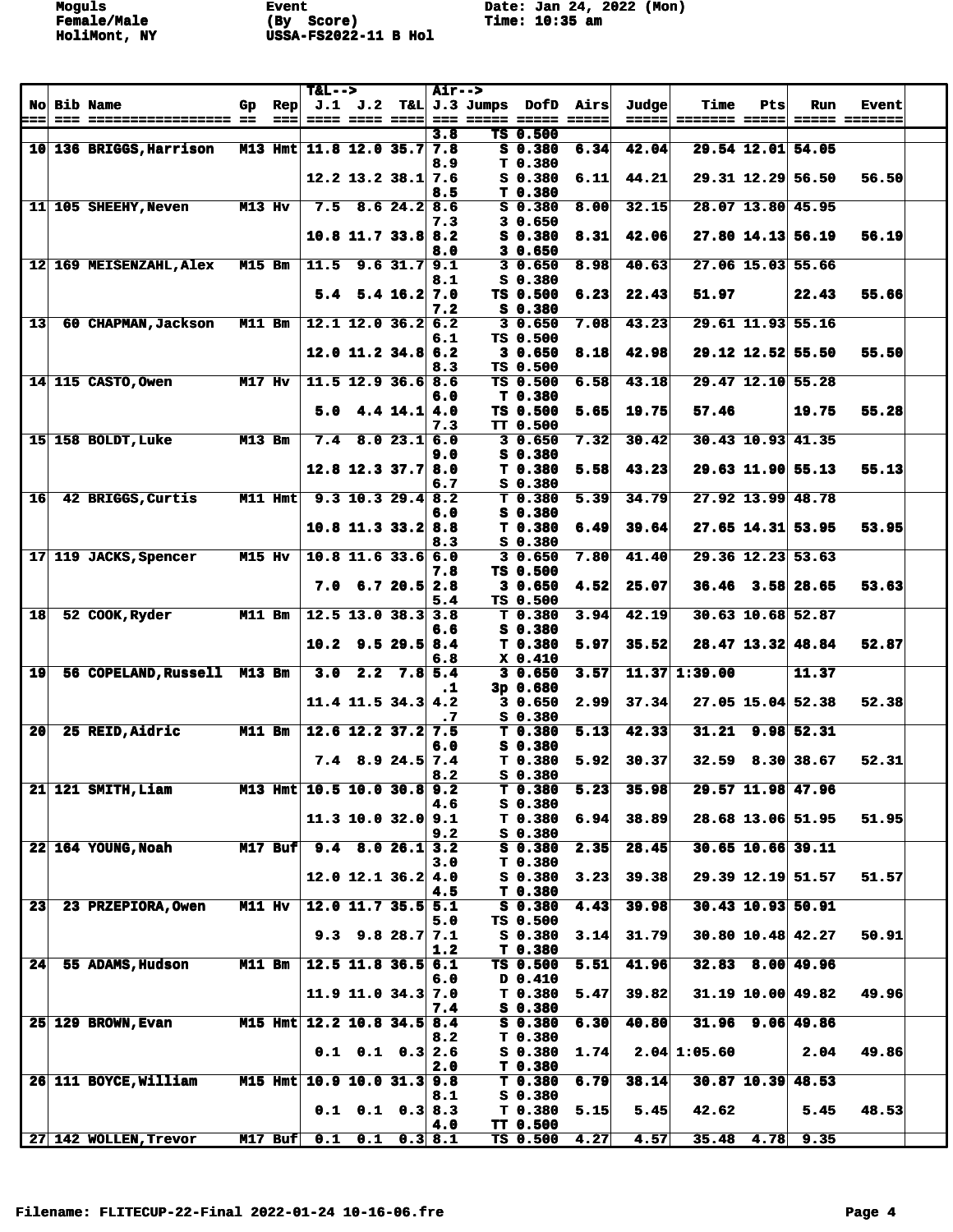|                 |                                         |               |                | $T&L-->$                   |                                      |                  | <b>Air--&gt;</b> |                  |                                 |      |                |                       |     |                      |                               |  |
|-----------------|-----------------------------------------|---------------|----------------|----------------------------|--------------------------------------|------------------|------------------|------------------|---------------------------------|------|----------------|-----------------------|-----|----------------------|-------------------------------|--|
| ===             | No Bib Name<br>--- ----------------- -- | Gp            | Rep<br>$==$    |                            | J.1 J.2<br>==== ==== ====            |                  |                  | $T\&L$ J.3 Jumps | DofD                            | Airs | Judge<br>===== | Time<br>======= ===== | Pts | Run                  | <b>Event</b><br>===== ======= |  |
|                 |                                         |               |                |                            |                                      |                  | 3.8              |                  | TS 0.500                        |      |                |                       |     |                      |                               |  |
|                 | 10 136 BRIGGS, Harrison                 |               |                | M13 Hmt 11.8 12.0 35.7 7.8 |                                      |                  |                  |                  | $S_0.380$                       | 6.34 | 42.04          |                       |     | 29.54 12.01 54.05    |                               |  |
|                 |                                         |               |                |                            |                                      |                  | 8.9              |                  | T <sub>0.380</sub>              |      |                |                       |     |                      |                               |  |
|                 |                                         |               |                |                            | $12.2$ 13.2 38.1 7.6                 |                  |                  |                  | $S_0.380$                       | 6.11 | 44.21          |                       |     | 29.31 12.29 56.50    | 56.50                         |  |
|                 | 11 105 SHEEHY, Neven                    | M13 Hv        |                |                            |                                      |                  | 8.5              |                  | T <sub>0.380</sub><br>$S_0.380$ | 8.00 | 32.15          |                       |     | 28.07 13.80 45.95    |                               |  |
|                 |                                         |               |                |                            | $7.5$ 8.6 24.2 8.6                   |                  | 7.3              |                  | 3 0.650                         |      |                |                       |     |                      |                               |  |
|                 |                                         |               |                |                            | $10.8$ 11.7 33.8 8.2                 |                  |                  |                  | S 0.380                         | 8.31 | 42.06          |                       |     | 27.80 14.13 56.19    | 56.19                         |  |
|                 |                                         |               |                |                            |                                      |                  | 8.0              |                  | 3 0.650                         |      |                |                       |     |                      |                               |  |
|                 | 12 169 MEISENZAHL, Alex                 | <b>M15 Bm</b> |                | 11.5                       |                                      | $9.6$ 31.7 9.1   |                  |                  | 30.650                          | 8.98 | 40.63          |                       |     | $27.06$ 15.03 55.66  |                               |  |
|                 |                                         |               |                | 5.4                        |                                      | $5.4$ 16.2 7.0   | 8.1              |                  | S 0.380<br>TS 0.500             | 6.23 | 22.43          | 51.97                 |     | 22.43                | 55.66                         |  |
|                 |                                         |               |                |                            |                                      |                  | 7.2              |                  | S 0.380                         |      |                |                       |     |                      |                               |  |
| 13              | 60 CHAPMAN, Jackson                     | <b>M11 Bm</b> |                |                            | $12.1$ 12.0 36.2 6.2                 |                  |                  |                  | 30.650                          | 7.08 | 43.23          |                       |     | 29.61 11.93 55.16    |                               |  |
|                 |                                         |               |                |                            |                                      |                  | 6.1              |                  | TS 0.500                        |      |                |                       |     |                      |                               |  |
|                 |                                         |               |                |                            | $12.0$ 11.2 34.8 6.2                 |                  |                  |                  | 30.650                          | 8.18 | 42.98          |                       |     | 29.12 12.52 55.50    | 55.50                         |  |
|                 | 14 115 CASTO, Owen                      | M17 Hv        |                |                            | $11.5$ 12.9 36.6 8.6                 |                  | 8.3              |                  | TS 0.500<br>TS 0.500            | 6.58 | 43.18          |                       |     | 29.47 12.10 55.28    |                               |  |
|                 |                                         |               |                |                            |                                      |                  | 6.0              |                  | T <sub>0.380</sub>              |      |                |                       |     |                      |                               |  |
|                 |                                         |               |                | 5.0                        |                                      | $4.4$ 14.1 $4.0$ |                  |                  | TS 0.500                        | 5.65 | 19.75          | 57.46                 |     | 19.75                | 55.28                         |  |
|                 |                                         |               |                |                            |                                      |                  | 7.3              |                  | TT 0.500                        |      |                |                       |     |                      |                               |  |
|                 | 15 158 BOLDT, Luke                      | $M13$ Bm      |                | 7.4                        |                                      | 8.023.16.0       |                  |                  | 30.650                          | 7.32 | 30.42          |                       |     | $30.43$ 10.93 41.35  |                               |  |
|                 |                                         |               |                |                            | $12.8$ 12.3 37.7 8.0                 |                  | 9.0              |                  | S 0.380<br>T 0.380              | 5.58 | 43.23          |                       |     | 29.63 11.90 55.13    | 55.13                         |  |
|                 |                                         |               |                |                            |                                      |                  | 6.7              |                  | $S$ 0.380                       |      |                |                       |     |                      |                               |  |
| 16              | 42 BRIGGS, Curtis                       |               | M11 Hmt        |                            | $9.3$ 10.3 29.4 8.2                  |                  |                  |                  | T 0.380                         | 5.39 | 34.79          |                       |     | 27.92 13.99 48.78    |                               |  |
|                 |                                         |               |                |                            |                                      |                  | 6.0              |                  | S 0.380                         |      |                |                       |     |                      |                               |  |
|                 |                                         |               |                |                            | $10.8$ 11.3 33.2 8.8                 |                  |                  |                  | T 0.380                         | 6.49 | 39.64          |                       |     | $27.65$ 14.31 53.95  | 53.95                         |  |
|                 |                                         |               |                |                            |                                      |                  | 8.3              |                  | S 0.380                         |      |                |                       |     |                      |                               |  |
|                 | 17 119 JACKS, Spencer                   | M15 Hv        |                |                            | $10.8$ 11.6 33.6 6.0                 |                  | 7.8              |                  | 30.650<br>TS 0.500              | 7.80 | 41.40          |                       |     | 29.36 12.23 53.63    |                               |  |
|                 |                                         |               |                |                            | $7.0 \quad 6.7 \quad 20.5 \quad 2.8$ |                  |                  |                  | 30.650                          | 4.52 | 25.07          |                       |     | $36.46$ $3.58$ 28.65 | 53.63                         |  |
|                 |                                         |               |                |                            |                                      |                  | 5.4              |                  | TS 0.500                        |      |                |                       |     |                      |                               |  |
| 18              | 52 COOK, Ryder                          | M11 Bm        |                |                            | $12.5$ 13.0 38.3 3.8                 |                  |                  |                  | T <sub>0.380</sub>              | 3.94 | 42.19          |                       |     | 30.63 10.68 52.87    |                               |  |
|                 |                                         |               |                |                            |                                      |                  | 6.6              |                  | $S$ 0.380                       |      |                |                       |     |                      |                               |  |
|                 |                                         |               |                | 10.2                       |                                      | $9.5$ 29.5 8.4   | 6.8              |                  | T 0.380<br>$X$ 0.410            | 5.97 | 35.52          |                       |     | 28.47 13.32 48.84    | 52.87                         |  |
| 19              | 56 COPELAND, Russell M13 Bm             |               |                | 3.0                        |                                      | $2.2$ $7.8$ 5.4  |                  |                  | 30.650                          | 3.57 |                | $11.37$ 1:39.00       |     | 11.37                |                               |  |
|                 |                                         |               |                |                            |                                      |                  | $\cdot$ 1        |                  | $3p$ 0.680                      |      |                |                       |     |                      |                               |  |
|                 |                                         |               |                |                            | $11.4$ 11.5 34.3 4.2                 |                  |                  |                  | 30.650                          | 2.99 | 37.34          |                       |     | $27.05$ 15.04 52.38  | 52.38                         |  |
| 20              | 25 REID, Aidric                         | $M11$ Bm      |                |                            | $12.6$ 12.2 37.2 7.5                 |                  | $\cdot$ 7        |                  | $S_0.380$<br>T <sub>0.380</sub> | 5.13 | 42.33          |                       |     | $31.21$ 9.98 52.31   |                               |  |
|                 |                                         |               |                |                            |                                      |                  | 6.0              |                  | S 0.380                         |      |                |                       |     |                      |                               |  |
|                 |                                         |               |                |                            | $7.4$ 8.9 24.5 7.4                   |                  |                  |                  | T 0.380                         | 5.92 | 30.37          |                       |     | $32.59$ 8.30 38.67   | 52.31                         |  |
|                 |                                         |               |                |                            |                                      |                  | 8.2              |                  | S 0.380                         |      |                |                       |     |                      |                               |  |
|                 | 21 121 SMITH, Liam                      |               |                | M13 Hmt 10.5 10.0 30.8 9.2 |                                      |                  |                  |                  | T <sub>0.380</sub>              | 5.23 | 35.98          |                       |     | 29.57 11.98 47.96    |                               |  |
|                 |                                         |               |                |                            | 11.3 10.0 32.0 9.1                   |                  | 4.6              |                  | S 0.380<br>T <sub>0.380</sub>   | 6.94 | 38.89          |                       |     | 28.68 13.06 51.95    | 51.95                         |  |
|                 |                                         |               |                |                            |                                      |                  | 9.2              |                  | $S$ 0.380                       |      |                |                       |     |                      |                               |  |
|                 | 22 164 YOUNG, Noah                      |               | <b>M17 Buf</b> |                            | $9.4$ 8.0 26.1 3.2                   |                  |                  |                  | S 0.380                         | 2.35 | 28.45          |                       |     | $30.65$ 10.66 39.11  |                               |  |
|                 |                                         |               |                |                            |                                      |                  | 3.0              |                  | T 0.380                         |      |                |                       |     |                      |                               |  |
|                 |                                         |               |                |                            | $12.0$ 12.1 36.2 4.0                 |                  |                  |                  | $S$ 0.380                       | 3.23 | 39.38          |                       |     | 29.39 12.19 51.57    | 51.57                         |  |
| 23 <sub>1</sub> | 23 PRZEPIORA, Owen                      | M11 Hv        |                |                            | $12.0$ 11.7 35.5 5.1                 |                  | 4.5              |                  | T 0.380<br>$S_0.380$            | 4.43 | 39.98          |                       |     | $30.43$ 10.93 50.91  |                               |  |
|                 |                                         |               |                |                            |                                      |                  | 5.0              |                  | TS 0.500                        |      |                |                       |     |                      |                               |  |
|                 |                                         |               |                |                            | $9.3$ $9.8$ $28.7$ $7.1$             |                  |                  |                  | S 0.380                         | 3.14 | 31.79          |                       |     | 30.80 10.48 42.27    | 50.91                         |  |
|                 |                                         |               |                |                            |                                      |                  | 1.2              |                  | T 0.380                         |      |                |                       |     |                      |                               |  |
| 24              | 55 ADAMS, Hudson                        | $M11$ Bm      |                |                            | $12.5$ 11.8 36.5 6.1                 |                  | 6.0              |                  | TS 0.500<br>D 0.410             | 5.51 | 41.96          |                       |     | $32.83$ $8.00$ 49.96 |                               |  |
|                 |                                         |               |                |                            | 11.9 11.0 34.3 7.0                   |                  |                  |                  | T 0.380                         | 5.47 | 39.82          |                       |     | 31.19 10.00   49.82  | 49.96                         |  |
|                 |                                         |               |                |                            |                                      |                  | 7.4              |                  | $S$ 0.380                       |      |                |                       |     |                      |                               |  |
|                 | <b>25 129 BROWN, Evan</b>               |               |                | M15 Hmt 12.2 10.8 34.5 8.4 |                                      |                  |                  |                  | $S_0.380$                       | 6.30 | 40.80          |                       |     | $31.96$ 9.06 49.86   |                               |  |
|                 |                                         |               |                |                            |                                      |                  | 8.2              |                  | T <sub>0.380</sub>              |      |                |                       |     |                      |                               |  |
|                 |                                         |               |                |                            | $0.1$ $0.1$ $0.3$ 2.6                |                  | 2.0              |                  | $S$ 0.380<br>T 0.380            | 1.74 |                | $2.04$ 1:05.60        |     | 2.04                 | 49.86                         |  |
|                 | 26 111 BOYCE, William                   |               |                | M15 Hmt 10.9 10.0 31.3 9.8 |                                      |                  |                  |                  | T <sub>0.380</sub>              | 6.79 | 38.14          |                       |     | $30.87$ 10.39 48.53  |                               |  |
|                 |                                         |               |                |                            |                                      |                  | 8.1              |                  | $S$ 0.380                       |      |                |                       |     |                      |                               |  |
|                 |                                         |               |                |                            | $0.1$ $0.1$ $0.3$ $8.3$              |                  |                  |                  | T <sub>0.380</sub>              | 5.15 | 5.45           | 42.62                 |     | 5.45                 | 48.53                         |  |
|                 |                                         |               |                |                            |                                      |                  | 4.0              |                  | TT 0.500                        |      |                |                       |     |                      |                               |  |
|                 | 27 142 WOLLEN, Trevor                   |               | $M17$ Buf      | 0.1                        | 0.1                                  |                  | 0.3 8.1          |                  | TS 0.500                        | 4.27 | 4.57           | 35.48                 |     | $4.78$ 9.35          |                               |  |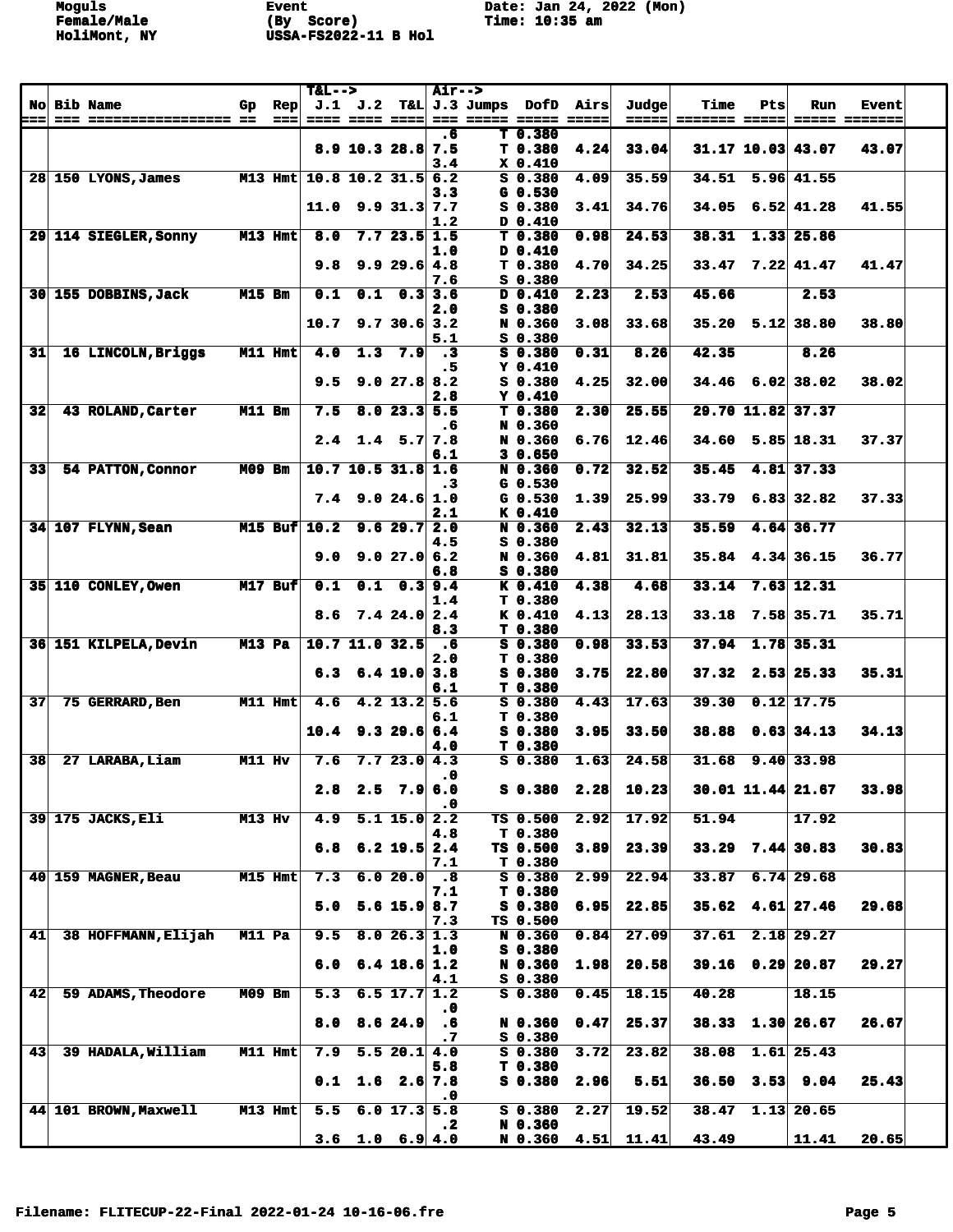|                          |                                              |               |             | $T&L-->$                   |             |                      | <b>Air--&gt;</b>            |                 |                                          |      |                | Time          | Pts            |                        |                               |  |
|--------------------------|----------------------------------------------|---------------|-------------|----------------------------|-------------|----------------------|-----------------------------|-----------------|------------------------------------------|------|----------------|---------------|----------------|------------------------|-------------------------------|--|
| <b>No</b><br>===         | <b>Bib Name</b><br>=== ================== == | Gp.           | Rep<br>$==$ |                            | $J.1$ $J.2$ | ==== ==== ====       |                             | $T&L$ J.3 Jumps | DofD<br>=== ===== ===== =====            | Airs | Judge<br>===== | ======= ===== |                | Run                    | <b>Event</b><br>===== ======= |  |
|                          |                                              |               |             |                            |             | $8.9$ 10.3 28.8 7.5  | .6                          |                 | T <sub>0.380</sub><br>T <sub>0.380</sub> | 4.24 | 33.04          |               |                | 31.17 10.03 43.07      | 43.07                         |  |
|                          | 28 150 LYONS, James                          |               |             | M13 Hmt 10.8 10.2 31.5 6.2 |             |                      | 3.4                         |                 | $X_0, 410$<br>$S$ 0.380                  | 4.09 | 35.59          | 34.51         |                | $5.96 \, 41.55$        |                               |  |
|                          |                                              |               |             | 11.0                       |             | $9.9$ 31.3 7.7       | 3.3                         |                 | $G$ 0.530<br>$S$ 0.380                   | 3.41 | 34.76          |               |                | $34.05$ 6.52 41.28     | 41.55                         |  |
|                          | 29 114 SIEGLER, Sonny                        |               | M13 Hmt     | 8.0                        |             | 7.723.51.5           | 1.2                         |                 | D 0.410<br>T 0.380                       | 0.98 | 24.53          | 38.31         |                | $1.33$ 25.86           |                               |  |
|                          |                                              |               |             |                            |             |                      | 1.0                         |                 | D 0.410                                  |      |                |               |                |                        |                               |  |
|                          |                                              |               |             | 9.8                        |             | 9.929.64.8           | 7.6                         |                 | T0.380<br>S 0.380                        | 4.70 | 34.25          |               |                | $33.47$ $7.22$ $41.47$ | 41.47                         |  |
|                          | 30 155 DOBBINS, Jack                         | <b>M15 Bm</b> |             | 0.1                        | 0.1         |                      | 0.33.6                      |                 | D 0.410                                  | 2.23 | 2.53           | 45.66         |                | 2.53                   |                               |  |
|                          |                                              |               |             | 10.7                       |             | 9.730.6 3.2          | 2.0                         |                 | S 0.380<br>N 0.360                       | 3.08 | 33.68          |               |                | $35.20$ $5.12$ $38.80$ | 38.80                         |  |
| 31                       | 16 LINCOLN, Briggs                           |               | M11 Hmt     | 4.0                        | 1.3         | 7.9                  | 5.1<br>$\cdot$ <sub>3</sub> |                 | S 0.380<br>$S_0.380$                     | 0.31 | 8.26           | 42.35         |                | 8.26                   |                               |  |
|                          |                                              |               |             |                            |             |                      | . 5                         |                 | $Y$ 0.410                                |      |                |               |                |                        | 38.02                         |  |
|                          |                                              |               |             | 9.5                        |             | 9.027.88.2           | 2.8                         |                 | S 0.380<br>$Y_0.410$                     | 4.25 | 32.00          |               |                | $34.46$ 6.02 38.02     |                               |  |
| 32                       | 43 ROLAND, Carter                            | M11 Bm        |             | 7.5                        |             | $8.0$ 23.3 5.5       | . 6                         |                 | T0.380<br>N 0.360                        | 2.30 | 25.55          |               |                | 29.70 11.82 37.37      |                               |  |
|                          |                                              |               |             | 2.4                        |             | $1.4$ 5.7 7.8        | 6.1                         |                 | N 0.360<br>30.650                        | 6.76 | 12.46          |               |                | $34.60$ 5.85 18.31     | 37.37                         |  |
| 33                       | 54 PATTON, Connor                            | M09 Bm        |             |                            |             | $10.7$ 10.5 31.8 1.6 |                             |                 | N 0.360<br>$G$ 0.530                     | 0.72 | 32.52          | 35.45         |                | 4.81 37.33             |                               |  |
|                          |                                              |               |             | 7.4                        |             | 9.024.6 1.0          | . 3                         |                 | $G_0.530$                                | 1.39 | 25.99          | 33.79         |                | $6.83$ 32.82           | 37.33                         |  |
|                          | 34 107 FLYNN, Sean                           |               |             | $M15$ Buf $10.2$           |             | 9.629.72.0           | 2.1                         |                 | K 0.410<br>N 0.360                       | 2.43 | 32.13          | 35.59         |                | 4.64 36.77             |                               |  |
|                          |                                              |               |             | 9.0                        |             | 9.027.06.2           | 4.5                         |                 | S 0.380<br>N 0.360                       | 4.81 | 31.81          | 35.84         |                | 4.34 36.15             | 36.77                         |  |
|                          | 35 110 CONLEY, Owen                          |               | $M17$ Buf   | 0.1                        |             | $0.1 \quad 0.3$ 9.4  | 6.8                         |                 | S 0.380<br>K 0.410                       | 4.38 | 4.68           | 33.14         |                | $7.63$ 12.31           |                               |  |
|                          |                                              |               |             |                            |             |                      | 1.4                         |                 | T 0.380                                  |      |                |               |                |                        |                               |  |
|                          |                                              |               |             | 8.6                        |             | 7.424.02.4           | 8.3                         |                 | K 0.410<br>T 0.380                       | 4.13 | 28.13          | 33.18         |                | 7.58 35.71             | 35.71                         |  |
|                          | 36 151 KILPELA, Devin                        | M13 Pa        |             |                            |             | 10.7 11.0 32.5       | $\ddotsc$                   |                 | $S$ 0.380                                | 0.98 | 33.53          | 37.94         |                | $1.78$ 35.31           |                               |  |
|                          |                                              |               |             | 6.3                        |             | $6.4$ 19.0 3.8       | 2.0                         |                 | T 0.380<br>$S$ 0.380                     | 3.75 | 22.80          |               |                | $37.32$ 2.53 25.33     | 35.31                         |  |
| 37                       | 75 GERRARD, Ben                              |               | $M11$ Hmt   | 4.6                        |             | $4.2$ 13.2 5.6       | 6.1                         |                 | T 0.380<br>$S$ 0.380                     | 4.43 | 17.63          | 39.30         |                | $0.12$ 17.75           |                               |  |
|                          |                                              |               |             | 10.4                       |             |                      | 6.1                         |                 | T <sub>0.380</sub>                       | 3.95 | 33.50          | 38.88         |                | $0.63$ 34.13           | 34.13                         |  |
|                          |                                              |               |             |                            |             | 9.329.66.4           | 4.0                         |                 | S 0.380<br>T 0.380                       |      |                |               |                |                        |                               |  |
| $\overline{\mathbf{38}}$ | 27 LARABA, Liam                              | M11 Hv        |             | 7.6                        |             | 7.723.04.3           | .0                          |                 | $S$ 0.380                                | 1.63 | 24.58          | 31.68         |                | $9.40$ 33.98           |                               |  |
|                          |                                              |               |             | 2.8                        |             | $2.5$ 7.9 6.0        | .0                          |                 | $S_0.380$                                | 2.28 | 10.23          |               |                | $30.01$ 11.44 21.67    | 33.98                         |  |
|                          | 39 175 JACKS, Eli                            | $M13$ Hv      |             | 4.9                        |             | $5.1$ 15.0 2.2       |                             |                 | TS 0.500<br>T 0.380                      | 2.92 | 17.92          | 51.94         |                | 17.92                  |                               |  |
|                          |                                              |               |             | 6.8                        |             | $6.2$ 19.5 2.4       | 4.8                         |                 | TS 0.500                                 | 3.89 | 23.39          |               |                | $33.29$ 7.44 30.83     | 30.83                         |  |
|                          | 40 159 MAGNER, Beau                          |               | $M15$ Hmt   | 7.3                        |             | 6.020.0              | 7.1<br>.8                   |                 | T 0.380<br>$S$ 0.380                     | 2.99 | 22.94          | 33.87         |                | $6.74$ 29.68           |                               |  |
|                          |                                              |               |             |                            |             | $5.6$ 15.9           | 7.1                         |                 | T 0.380                                  |      |                |               |                | $35.62$ 4.61 27.46     | 29.68                         |  |
|                          |                                              |               |             | 5.0                        |             |                      | 8.7<br>7.3                  |                 | $S$ 0.380<br>TS 0.500                    | 6.95 | 22.85          |               |                |                        |                               |  |
| 41                       | 38 HOFFMANN, Elijah                          | M11 Pa        |             | 9.5                        |             | 8.026.31.3           | 1.0                         |                 | N 0.360<br>$S$ 0.380                     | 0.84 | 27.09          | 37.61         |                | $2.18$ 29.27           |                               |  |
|                          |                                              |               |             | 6.0                        |             | $6.4$ 18.6 1.2       | 4.1                         |                 | N 0.360<br>$S$ 0.380                     | 1.98 | 20.58          |               |                | $39.16$ 0.29 20.87     | 29.27                         |  |
| 42                       | 59 ADAMS, Theodore                           | <b>M09 Bm</b> |             | 5.3                        |             | $6.5$ 17.7 1.2       |                             |                 | $S$ 0.380                                | 0.45 | 18.15          | 40.28         |                | 18.15                  |                               |  |
|                          |                                              |               |             | 8.0                        |             | 8.6 24.9             | $\cdot$ 0<br>. 6            |                 | N 0.360                                  | 0.47 | 25.37          |               |                | 38.33 1.30 26.67       | 26.67                         |  |
| 43                       | 39 HADALA, William                           |               | M11 Hmt     | 7.9                        |             | 5.520.14.0           | . 7                         |                 | $S_0.380$<br>$S$ 0.380                   | 3.72 | 23.82          | 38.08         |                | $1.61$ 25.43           |                               |  |
|                          |                                              |               |             | 0.1                        |             | 1.6 2.6 7.8          | 5.8                         |                 | T 0.380<br>$S$ 0.380                     | 2.96 | 5.51           |               | $36.50$ $3.53$ | 9.04                   | 25.43                         |  |
|                          | 44 101 BROWN, Maxwell                        |               | M13 Hmt     | 5.5                        |             | 6.0 17.3 5.8         | $\cdot$ 0                   |                 | $S$ 0.380                                | 2.27 | 19.52          | 38.47         |                | $1.13$ 20.65           |                               |  |
|                          |                                              |               |             |                            |             |                      | $\cdot$ 2                   |                 | N 0.360                                  |      |                |               |                |                        |                               |  |
|                          |                                              |               |             |                            |             | 3.6 1.0 6.9 4.0      |                             |                 | N 0.360                                  | 4.51 | 11.41          | 43.49         |                | 11.41                  | 20.65                         |  |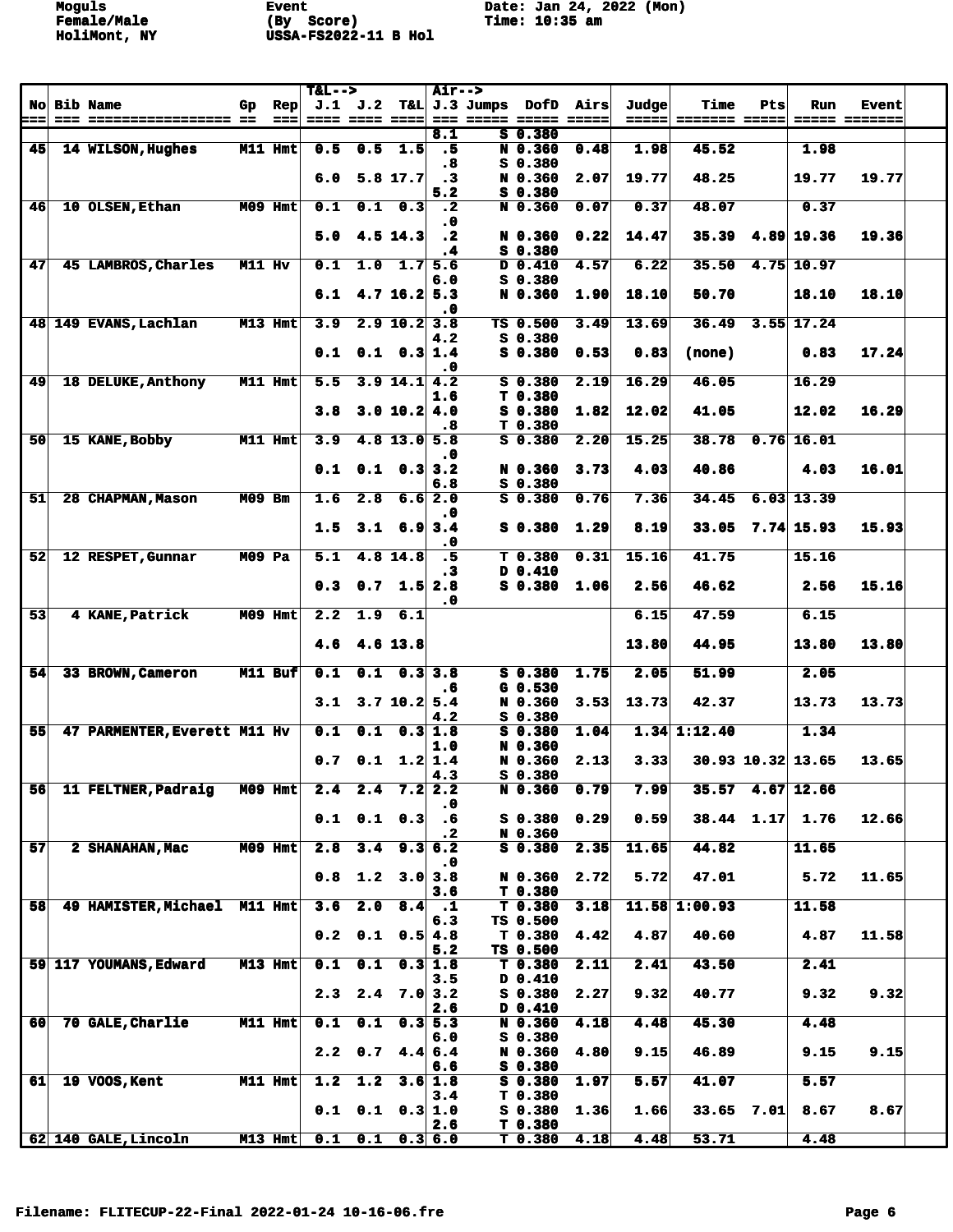|           |                              |               |                | $T&L-->$ |                           |                           | <b>Air--&gt;</b> |                       |                                |      |       |                 |                   |              |               |  |
|-----------|------------------------------|---------------|----------------|----------|---------------------------|---------------------------|------------------|-----------------------|--------------------------------|------|-------|-----------------|-------------------|--------------|---------------|--|
| <b>No</b> | <b>Bib Name</b>              | Gp            | $\mathbf{Rep}$ |          | J.1 J.2                   |                           |                  | T&L J.3 Jumps         | DofD                           | Airs | Judge | Time            | Pts               | Run          | Event         |  |
| ===       |                              |               | $==$           |          |                           |                           |                  | === ===== ===== ===== |                                |      | ===== | ======= =====   |                   |              | ===== ======= |  |
| 45        |                              |               | M11 Hmt        |          |                           | $0.5$ 1.5                 | 8.1              |                       | $S_0.380$                      |      | 1.98  | 45.52           |                   | 1.98         |               |  |
|           | 14 WILSON, Hughes            |               |                | 0.5      |                           |                           | $\cdot$ 5<br>- 8 |                       | N 0.360<br>$S_0.380$           | 0.48 |       |                 |                   |              |               |  |
|           |                              |               |                | 6.0      |                           | $5.8$ 17.7                | $\cdot$ 3        |                       | N 0.360                        | 2.07 | 19.77 | 48.25           |                   | 19.77        | 19.77         |  |
|           |                              |               |                |          |                           |                           | 5.2              |                       | $S_0.380$                      |      |       |                 |                   |              |               |  |
| 46        | 10 OLSEN, Ethan              |               | M09 Hmt        | 0.1      | 0.1                       | 0.3                       | $\cdot$ 2        |                       | N 0.360                        | 0.07 | 0.37  | 48.07           |                   | 0.37         |               |  |
|           |                              |               |                |          |                           |                           | . 0              |                       |                                |      |       |                 |                   |              |               |  |
|           |                              |               |                | 5.0      |                           | $4.5$ 14.3                | $\cdot$ 2        |                       | N 0.360                        | 0.22 | 14.47 | 35.39           |                   | 4.89 19.36   | 19.36         |  |
| 47        | 45 LAMBROS, Charles          | M11 Hv        |                | 0.1      | 1.0                       | $1.7 \, 5.6$              | . 4              |                       | $S_0.380$<br>$D$ 0.410         | 4.57 | 6.22  | 35.50           |                   | $4.75$ 10.97 |               |  |
|           |                              |               |                |          |                           |                           | 6.0              |                       | $S$ 0.380                      |      |       |                 |                   |              |               |  |
|           |                              |               |                | 6.1      |                           | $4.7$ 16.2 5.3            |                  |                       | N 0.360                        | 1.90 | 18.10 | 50.70           |                   | 18.10        | 18.10         |  |
|           |                              |               |                |          |                           |                           | .0               |                       |                                |      |       |                 |                   |              |               |  |
|           | 48 149 EVANS, Lachlan        | M13 Hmt       |                | 3.9      |                           | $2.9$ 10.2 3.8            |                  |                       | TS 0.500                       | 3.49 | 13.69 | 36.49           |                   | $3.55$ 17.24 |               |  |
|           |                              |               |                |          |                           |                           | 4.2              |                       | $S$ 0.380                      |      |       |                 |                   |              |               |  |
|           |                              |               |                | 0.1      | 0.1                       | 0.3 1.4                   |                  |                       | $S_0.380$                      | 0.53 | 0.83  | (none)          |                   | 0.83         | 17.24         |  |
| 49        | 18 DELUKE, Anthony           |               | M11 Hmt        | 5.5      |                           | $3.9$ 14.1 4.2            | .0               |                       | $S$ 0.380                      | 2.19 | 16.29 | 46.05           |                   | 16.29        |               |  |
|           |                              |               |                |          |                           |                           | 1.6              |                       | T 0.380                        |      |       |                 |                   |              |               |  |
|           |                              |               |                | 3.8      |                           | 3.0 10.2 4.0              |                  |                       | S 0.380                        | 1.82 | 12.02 | 41.05           |                   | 12.02        | 16.29         |  |
|           |                              |               |                |          |                           |                           | .8               |                       | T 0.380                        |      |       |                 |                   |              |               |  |
| 50        | 15 KANE, Bobby               |               | M11 Hmt        | 3.9      |                           | $4.8$ 13.0 5.8            |                  |                       | S 0.380                        | 2.20 | 15.25 | 38.78           |                   | $0.76$ 16.01 |               |  |
|           |                              |               |                |          |                           |                           | $\cdot$ 0        |                       |                                |      |       |                 |                   |              |               |  |
|           |                              |               |                | 0.1      | 0.1                       | $0.3$ 3.2                 | 6.8              |                       | N 0.360<br>$S_0.380$           | 3.73 | 4.03  | 40.86           |                   | 4.03         | 16.01         |  |
| 51        | 28 CHAPMAN, Mason            | <b>M09 Bm</b> |                | 1.6      | 2.8                       |                           | 6.6 2.0          |                       | S 0.380                        | 0.76 | 7.36  | 34.45           |                   | $6.03$ 13.39 |               |  |
|           |                              |               |                |          |                           |                           | . 0              |                       |                                |      |       |                 |                   |              |               |  |
|           |                              |               |                | 1.5      | 3.1                       |                           | $6.9$ 3.4        |                       | $S_0.380$                      | 1.29 | 8.19  | 33.05           |                   | $7.74$ 15.93 | 15.93         |  |
|           |                              |               |                |          |                           |                           | $\cdot$ 0        |                       |                                |      |       |                 |                   |              |               |  |
| 52        | 12 RESPET, Gunnar            | <b>M09 Pa</b> |                | 5.1      |                           | $4.8$ 14.8                | $\cdot$ 5        |                       | T <sub>0.380</sub>             | 0.31 | 15.16 | 41.75           |                   | 15.16        |               |  |
|           |                              |               |                | 0.3      | 0.7                       |                           | .3<br>$1.5$ 2.8  |                       | D 0.410<br>$S_0.380$           | 1.06 | 2.56  | 46.62           |                   | 2.56         | 15.16         |  |
|           |                              |               |                |          |                           |                           | $\cdot$ 0        |                       |                                |      |       |                 |                   |              |               |  |
| 53        | 4 KANE, Patrick              |               | M09 Hmt        | 2.2      | 1.9                       | 6,1                       |                  |                       |                                |      | 6.15  | 47.59           |                   | 6.15         |               |  |
|           |                              |               |                |          |                           |                           |                  |                       |                                |      |       |                 |                   |              |               |  |
|           |                              |               |                |          | 4.6 4.6 13.8              |                           |                  |                       |                                |      | 13.80 | 44.95           |                   | 13.80        | 13.80         |  |
| 54        | 33 BROWN, Cameron            |               | M11 Buf        | 0.1      |                           | $0.1 \quad 0.3 \quad 3.8$ |                  |                       | $S_0.380$                      | 1.75 | 2.05  | 51.99           |                   | 2.05         |               |  |
|           |                              |               |                |          |                           |                           | $\cdot 6$        |                       | $G_0.530$                      |      |       |                 |                   |              |               |  |
|           |                              |               |                | 3.1      |                           | $3.7$ 10.2 5.4            |                  |                       | N 0.360                        | 3.53 | 13.73 | 42.37           |                   | 13.73        | 13.73         |  |
|           |                              |               |                |          |                           |                           | 4.2              |                       | $S$ 0.380                      |      |       |                 |                   |              |               |  |
| 55        | 47 PARMENTER, Everett M11 Hv |               |                | 0.1      | 0.1                       | $0.3 \, 1.8$              |                  |                       | $S$ 0.380                      | 1.04 |       | 1.34   1:12.40  |                   | 1.34         |               |  |
|           |                              |               |                |          |                           |                           | 1.0              |                       | N 0.360                        |      |       |                 |                   |              |               |  |
|           |                              |               |                |          | $0.7$ $0.1$ $1.2$ $1.4$   |                           | 4.3              |                       | N 0.360<br>$S_0.380$           | 2.13 | 3.33  |                 | 30.93 10.32 13.65 |              | 13.65         |  |
| 56        | 11 FELTNER, Padraig          |               | M09 Hmt        | 2.4      | 2.4                       |                           | 7.2   2.2        |                       | N 0.360                        | 0.79 | 7.99  | 35.57           |                   | $4.67$ 12.66 |               |  |
|           |                              |               |                |          |                           |                           | $\cdot$ 0        |                       |                                |      |       |                 |                   |              |               |  |
|           |                              |               |                |          | $0.1 \t 0.1$              | 0.3                       | .6               |                       | $S_0.380$                      | 0.29 | 0.59  |                 | $38.44$ 1.17      | 1.76         | 12.66         |  |
|           |                              |               |                |          |                           |                           | $\cdot$ 2        |                       | N 0.360                        |      |       |                 |                   |              |               |  |
| 57        | 2 SHANAHAN, Mac              | M09 Hmt       |                | 2.8      | 3.4                       |                           | 9.3 6.2<br>.0    |                       | $S_0.380$                      | 2.35 | 11.65 | 44.82           |                   | 11.65        |               |  |
|           |                              |               |                |          | $0.8$ 1.2 3.0 3.8         |                           |                  |                       | N 0.360                        | 2.72 | 5.72  | 47.01           |                   | 5.72         | 11.65         |  |
|           |                              |               |                |          |                           |                           | 3.6              |                       | T 0.380                        |      |       |                 |                   |              |               |  |
| 58        | 49 HAMISTER, Michael M11 Hmt |               |                | 3.6      | 2.0                       | 8.4                       | $\cdot$ 1        |                       | T <sub>0.380</sub>             | 3.18 |       | $11.58$ 1:00.93 |                   | 11.58        |               |  |
|           |                              |               |                |          |                           |                           | 6.3              |                       | TS 0.500                       |      |       |                 |                   |              |               |  |
|           |                              |               |                |          | $0.2$ $0.1$ $0.5$ 4.8     |                           |                  |                       | T 0.380                        | 4.42 | 4.87  | 40.60           |                   | 4.87         | 11.58         |  |
|           | 59 117 YOUMANS, Edward       |               | $M13$ Hmt      | 0.1      | 0.1                       |                           | 5.2<br>0.3 1.8   |                       | TS 0.500<br>T <sub>0.380</sub> | 2.11 | 2.41  | 43.50           |                   | 2.41         |               |  |
|           |                              |               |                |          |                           |                           | 3.5              |                       | D 0.410                        |      |       |                 |                   |              |               |  |
|           |                              |               |                |          | $2.3$ $2.4$ $7.0$ 3.2     |                           |                  |                       | $S_0.380$                      | 2.27 | 9.32  | 40.77           |                   | 9.32         | 9.32          |  |
|           |                              |               |                |          |                           |                           | 2.6              |                       | D 0.410                        |      |       |                 |                   |              |               |  |
| 60        | 70 GALE, Charlie             |               | M11 Hmt        | 0.1      | $\overline{\mathbf{0.1}}$ |                           | $0.3$ 5.3        |                       | N 0.360                        | 4.18 | 4.48  | 45.30           |                   | 4.48         |               |  |
|           |                              |               |                |          |                           |                           | 6.0              |                       | $S$ 0.380                      |      |       |                 |                   |              | 9.15          |  |
|           |                              |               |                |          | $2.2 \t0.7$               |                           | 4.4 6.4<br>6.6   |                       | N 0.360<br>$S$ 0.380           | 4.80 | 9.15  | 46.89           |                   | 9.15         |               |  |
| 61        | 19 VOOS, Kent                |               | M11 Hmt        | 1.2      | 1.2                       |                           | 3.6 1.8          |                       | $S_0.380$                      | 1.97 | 5.57  | 41.07           |                   | 5.57         |               |  |
|           |                              |               |                |          |                           |                           | 3.4              |                       | T 0.380                        |      |       |                 |                   |              |               |  |
|           |                              |               |                |          | $0.1$ $0.1$ $0.3$ 1.0     |                           |                  |                       | $S$ 0.380                      | 1.36 | 1.66  |                 | $33.65$ 7.01      | 8.67         | 8.67          |  |
|           |                              |               |                |          |                           |                           | 2.6              |                       | T 0.380                        |      |       |                 |                   |              |               |  |
|           | 62 140 GALE, Lincoln         |               | M13 Hmt        | 0.1      | 0.1                       |                           | 0.3   6.0        |                       | T <sub>0.380</sub>             | 4.18 | 4.48  | 53.71           |                   | 4.48         |               |  |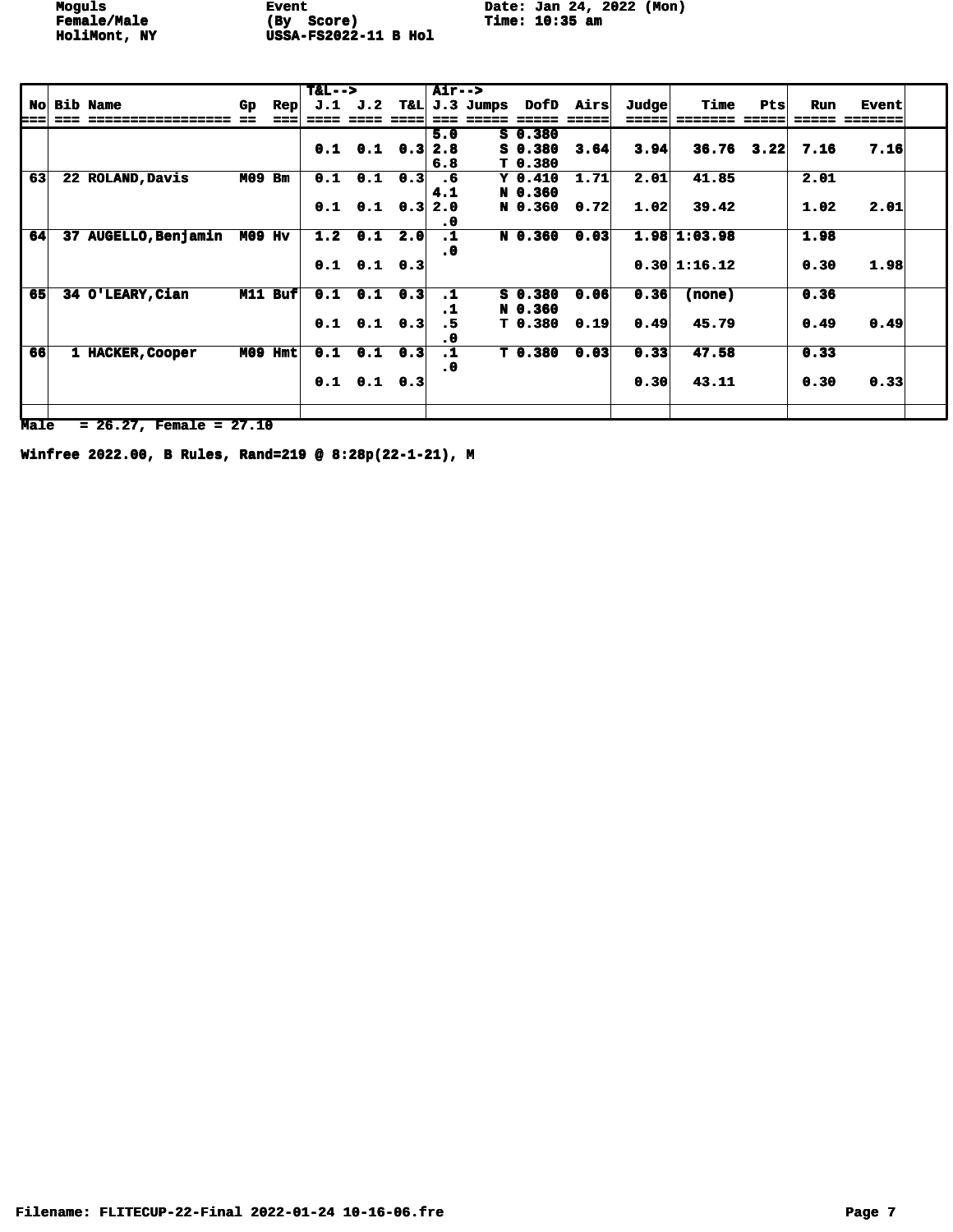Moguls **Event** Date: Jan 24, 2022 (Mon)<br> **Female/Male** (By Score) **Time: 10:35 am** 

|    |                      |               |              | $T&L-->$ |                           |     | Air-->    |               |           |           |                   |                     |      |      |              |  |
|----|----------------------|---------------|--------------|----------|---------------------------|-----|-----------|---------------|-----------|-----------|-------------------|---------------------|------|------|--------------|--|
| No | <b>Bib Name</b>      | Gp            | $_{\rm Rep}$ | J.1      | J.2                       |     |           | T&L J.3 Jumps |           | DofD Airs | $\mathbf{J}$ udge | Time                | Pts  | Run  | <b>Event</b> |  |
|    |                      |               |              |          |                           |     |           |               |           |           |                   |                     |      |      | :====        |  |
|    |                      |               |              |          |                           |     | 5.0       |               | $S$ 0.380 |           |                   |                     |      |      |              |  |
|    |                      |               |              |          | $0.1$ $0.1$ $0.3$         |     | 2.8       |               | $S_0.380$ | 3.64      | 3.94              | 36.76               | 3,22 | 7.16 | 7.16         |  |
|    |                      |               |              |          |                           |     | 6.8       |               | T 0.380   |           |                   |                     |      |      |              |  |
| 63 | 22 ROLAND, Davis     | <b>M09 Bm</b> |              | 0.1      | 0.1                       | 0.3 | .6        |               | $Y_0.410$ | 1.71      | 2.01              | 41.85               |      | 2.01 |              |  |
|    |                      |               |              |          |                           |     | 4.1       |               | N 0.360   |           |                   |                     |      |      |              |  |
|    |                      |               |              |          | $0.1$ $0.1$ $0.3$         |     | 2.0       |               | N 0.360   | 0.72      | 1.02              | 39.42               |      | 1.02 | 2.01         |  |
|    |                      |               |              |          |                           |     | . 0       |               |           |           |                   |                     |      |      |              |  |
| 64 | 37 AUGELLO, Benjamin | <b>M09 Hv</b> |              | 1.2      | 0.1                       | 2.0 | $\cdot$ 1 |               | N 0.360   | 0.03      |                   | $1.98 \mid 1:03.98$ |      | 1.98 |              |  |
|    |                      |               |              |          |                           |     | . 0       |               |           |           |                   |                     |      |      |              |  |
|    |                      |               |              |          | $0.1$ $0.1$ $0.3$         |     |           |               |           |           |                   | 0.30 1:16.12        |      | 0.30 | 1.98         |  |
|    |                      |               |              |          |                           |     |           |               |           |           |                   |                     |      |      |              |  |
| 65 | 34 O'LEARY, Cian     |               | M11 Buf      |          | $0.1 \quad 0.1 \quad 0.3$ |     | $\cdot$ 1 |               | $S_0.380$ | 0.06      | 0.36              | (none)              |      | 0.36 |              |  |
|    |                      |               |              |          |                           |     | $\cdot$ 1 |               | N 0.360   |           |                   |                     |      |      |              |  |
|    |                      |               |              |          | $0.1$ $0.1$ $0.3$         |     | .5        |               | T 0.380   | 0.19      | 0.49              | 45.79               |      | 0.49 | 0.49         |  |
|    |                      |               |              |          |                           |     | . 0       |               |           |           |                   |                     |      |      |              |  |
| 66 | 1 HACKER, Cooper     | M09           | <b>Hmt</b>   |          | $0.1 \quad 0.1$           | 0.3 | $\cdot$ 1 |               | T 0.380   | 0.03      | 0.33              | 47.58               |      | 0.33 |              |  |
|    |                      |               |              |          |                           |     | . 0       |               |           |           |                   |                     |      |      |              |  |
|    |                      |               |              |          | $0.1$ $0.1$ $0.3$         |     |           |               |           |           | 0.30              | 43.11               |      | 0.30 | 0.33         |  |
|    |                      |               |              |          |                           |     |           |               |           |           |                   |                     |      |      |              |  |
|    |                      |               |              |          |                           |     |           |               |           |           |                   |                     |      |      |              |  |

**Male = 26.27, Female = 27.10**

**Winfree 2022.00, B Rules, Rand=219 @ 8:28p(22-1-21), M**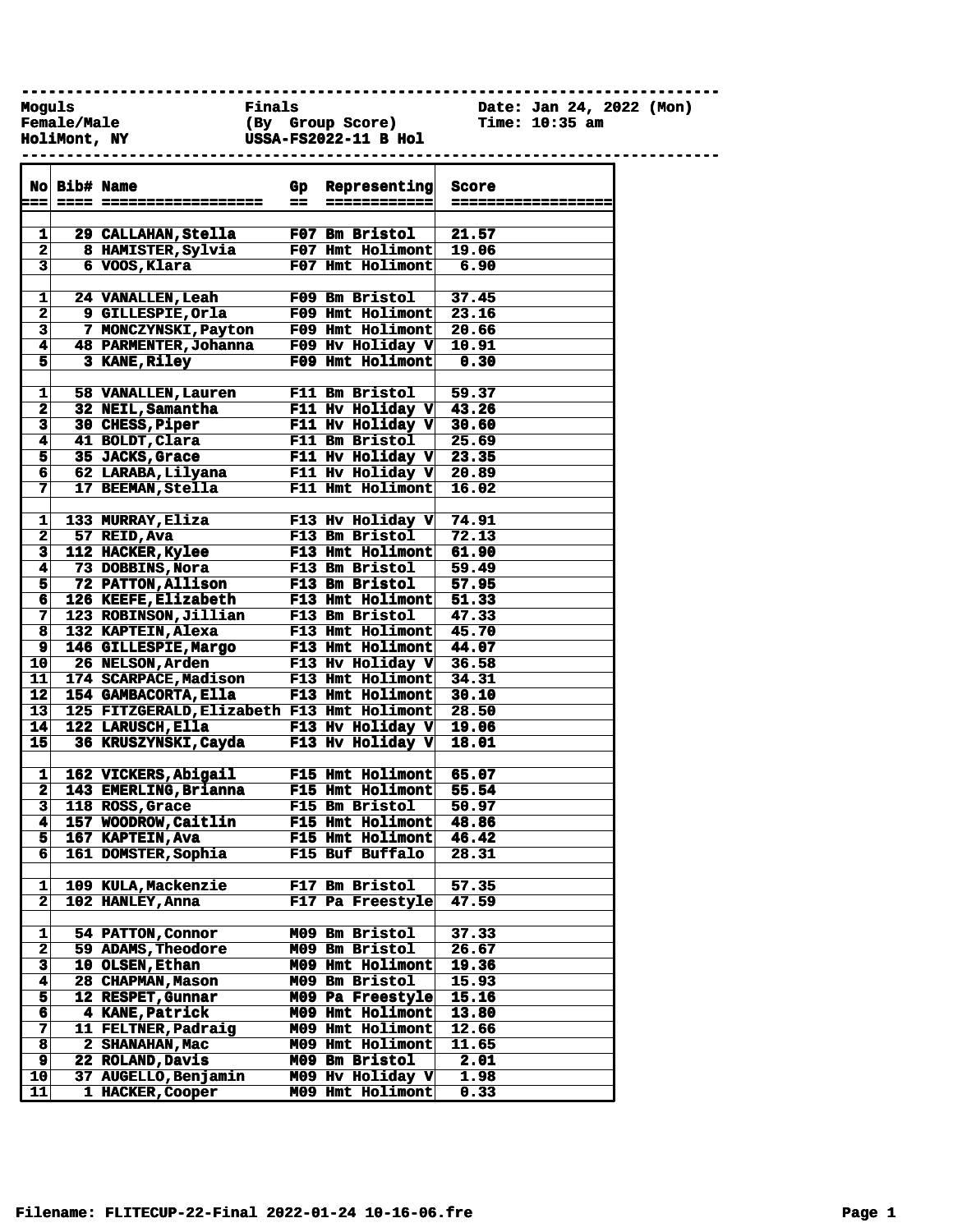**------------------------------------------------------------------------------**

**------------------------------------------------------------------------------**

**HoliMont, NY USSA-FS2022-11 B Hol** 

**Female/Male (By Group Score) Time: 10:35 am**

**Moguls Finals Date: Jan 24, 2022 (Mon)**

|                              | No Bib# Name |                                            | Gp | Representing                         | <b>Score</b>       |
|------------------------------|--------------|--------------------------------------------|----|--------------------------------------|--------------------|
| --                           |              |                                            | == | ------------                         | ------------------ |
|                              |              |                                            |    |                                      |                    |
| 1                            |              | 29 CALLAHAN, Stella                        |    | <b>F07 Bm Bristol</b>                | 21.57              |
| $\mathbf{2}$                 |              | 8 HAMISTER, Sylvia                         |    | F07 Hmt Holimont                     | 19.06              |
| $\overline{\mathbf{3}}$      |              | 6 VOOS, Klara                              |    | F07 Hmt Holimont                     | 6.90               |
|                              |              |                                            |    |                                      |                    |
| 1                            |              | 24 VANALLEN, Leah                          |    | F09 Bm Bristol                       | 37.45              |
| $\overline{\mathbf{2}}$      |              | 9 GILLESPIE, Orla                          |    | F09 Hmt Holimont                     | 23.16              |
| $\overline{\mathbf{3}}$      |              | 7 MONCZYNSKI, Payton                       |    | F09 Hmt Holimont                     | 20.66              |
| 4                            |              | 48 PARMENTER, Johanna                      |    | F09 Hv Holiday V                     | 10.91              |
| $\overline{\mathbf{5}}$      |              | 3 KANE, Riley                              |    | F09 Hmt Holimont                     | 0.30               |
|                              |              |                                            |    |                                      |                    |
| 1                            |              | 58 VANALLEN, Lauren                        |    | F11 Bm Bristol                       | 59.37              |
| $\mathbf 2$                  |              | 32 NEIL, Samantha                          |    | F11 Hv Holiday V 43.26               |                    |
| $\overline{\mathbf{3}}$      |              | 30 CHESS, Piper                            |    | F11 Hv Holiday V                     | 30.60              |
| $\overline{\mathbf{4}}$      |              | 41 BOLDT, Clara                            |    | F11 Bm Bristol                       | 25.69              |
| 5                            |              | 35 JACKS, Grace                            |    | F11 Hv Holiday V                     | 23.35              |
| $6\overline{6}$              |              | 62 LARABA, Lilyana<br>17 BEEMAN, Stella    |    | F11 Hv Holiday V<br>F11 Hmt Holimont | 20.89              |
| 7                            |              |                                            |    |                                      | 16.02              |
|                              |              |                                            |    | F13 Hv Holiday V                     |                    |
| 1<br>$\overline{\mathbf{2}}$ |              | 133 MURRAY, Eliza                          |    | F13 Bm Bristol                       | 74.91<br>72.13     |
| $\overline{\mathbf{3}}$      |              | 57 REID, Ava<br>112 HACKER, Kylee          |    | F13 Hmt Holimont                     | 61.90              |
| 4                            |              | 73 DOBBINS, Nora                           |    | <b>F13 Bm Bristol</b>                | 59.49              |
|                              |              | 72 PATTON, Allison                         |    | F13 Bm Bristol                       | 57.95              |
| 5<br>$6\overline{6}$         |              | 126 KEEFE, Elizabeth                       |    | <b>F13 Hmt Holimont</b>              | 51.33              |
| 7                            |              | 123 ROBINSON, Jillian                      |    | F13 Bm Bristol                       | 47.33              |
| 8                            |              | 132 KAPTEIN, Alexa                         |    | F13 Hmt Holimont                     | 45.70              |
| $\overline{9}$               |              | 146 GILLESPIE, Margo                       |    | F13 Hmt Holimont                     | 44.07              |
| 10                           |              | 26 NELSON, Arden                           |    | F13 Hv Holiday V                     | 36.58              |
| 11                           |              | 174 SCARPACE, Madison                      |    | F13 Hmt Holimont                     | 34.31              |
| $\overline{\mathbf{12}}$     |              | 154 GAMBACORTA, Ella                       |    | <b>F13 Hmt Holimont</b>              | 30.10              |
| 13                           |              | 125 FITZGERALD, Elizabeth F13 Hmt Holimont |    |                                      | 28.50              |
| 14                           |              | 122 LARUSCH, Ella                          |    | F13 Hv Holiday V                     | 19.06              |
| 15                           |              | 36 KRUSZYNSKI, Cayda                       |    | F13 Hv Holiday V                     | 18.01              |
|                              |              |                                            |    |                                      |                    |
| 1                            |              | 162 VICKERS, Abigail                       |    | F15 Hmt Holimont                     | 65.07              |
| $\mathbf{2}$                 |              | 143 EMERLING, Brianna                      |    | F15 Hmt Holimont                     | 55.54              |
| $\overline{\mathbf{3}}$      |              | 118 ROSS, Grace                            |    | F15 Bm Bristol                       | 50.97              |
| $\blacktriangleleft$         |              | 157 WOODROW, Caitlin                       |    | F15 Hmt Holimont                     | 48.86              |
| 5                            |              | 167 KAPTEIN, Ava                           |    | F15 Hmt Holimont                     | 46.42              |
| 6                            |              | 161 DOMSTER, Sophia                        |    | F15 Buf Buffalo                      | 28.31              |
|                              |              |                                            |    |                                      |                    |
| 1                            |              | 109 KULA, Mackenzie                        |    | F17 Bm Bristol                       | 57.35              |
| $\overline{\mathbf{2}}$      |              | 102 HANLEY, Anna                           |    | F17 Pa Freestyle                     | 47.59              |
|                              |              |                                            |    |                                      |                    |
| 1                            |              | 54 PATTON, Connor                          |    | M09 Bm Bristol                       | 37.33              |
| $\overline{\mathbf{2}}$      |              | 59 ADAMS, Theodore                         |    | M09 Bm Bristol                       | 26.67              |
| $\overline{\mathbf{3}}$      |              | 10 OLSEN, Ethan                            |    | M09 Hmt Holimont                     | 19.36              |
| 4                            |              | 28 CHAPMAN, Mason                          |    | M09 Bm Bristol                       | 15.93              |
| 5                            |              | 12 RESPET, Gunnar                          |    | M09 Pa Freestyle                     | 15.16              |
| 6                            |              | 4 KANE, Patrick                            |    | M09 Hmt Holimont                     | 13.80              |
| 7                            |              | 11 FELTNER, Padraig                        |    | M09 Hmt Holimont                     | 12.66              |
| 8                            |              | 2 SHANAHAN, Mac                            |    | M09 Hmt Holimont                     | 11.65              |
| $\overline{\mathbf{9}}$      |              | 22 ROLAND, Davis                           |    | M09 Bm Bristol                       | 2.01               |
| $\overline{10}$              |              | 37 AUGELLO, Benjamin                       |    | M09 Hv Holiday V                     | 1.98               |
| 11                           |              | 1 HACKER, Cooper                           |    | M09 Hmt Holimont                     | 0.33               |
|                              |              |                                            |    |                                      |                    |